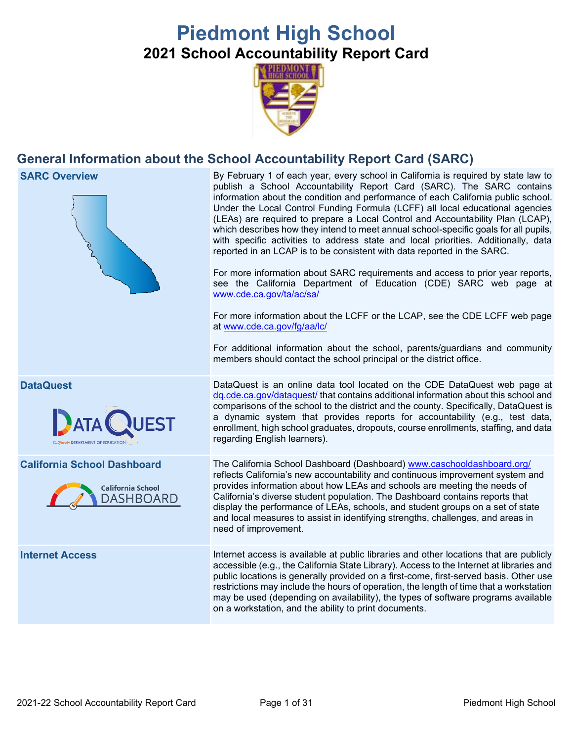# **Piedmont High School 2021 School Accountability Report Card**



## **General Information about the School Accountability Report Card (SARC)**







**SARC Overview** By February 1 of each year, every school in California is required by state law to publish a School Accountability Report Card (SARC). The SARC contains information about the condition and performance of each California public school. Under the Local Control Funding Formula (LCFF) all local educational agencies (LEAs) are required to prepare a Local Control and Accountability Plan (LCAP), which describes how they intend to meet annual school-specific goals for all pupils, with specific activities to address state and local priorities. Additionally, data reported in an LCAP is to be consistent with data reported in the SARC.

> For more information about SARC requirements and access to prior year reports, see the California Department of Education (CDE) SARC web page at [www.cde.ca.gov/ta/ac/sa/](https://www.cde.ca.gov/ta/ac/sa/)

> For more information about the LCFF or the LCAP, see the CDE LCFF web page at [www.cde.ca.gov/fg/aa/lc/](https://www.cde.ca.gov/fg/aa/lc/)

> For additional information about the school, parents/guardians and community members should contact the school principal or the district office.

**DataQuest** DataQuest **DataQuest** is an online data tool located on the CDE DataQuest web page at [dq.cde.ca.gov/dataquest/](https://dq.cde.ca.gov/dataquest/) that contains additional information about this school and comparisons of the school to the district and the county. Specifically, DataQuest is a dynamic system that provides reports for accountability (e.g., test data, enrollment, high school graduates, dropouts, course enrollments, staffing, and data regarding English learners).

**California School Dashboard** The California School Dashboard (Dashboard) [www.caschooldashboard.org/](http://www.caschooldashboard.org/) reflects California's new accountability and continuous improvement system and provides information about how LEAs and schools are meeting the needs of California's diverse student population. The Dashboard contains reports that display the performance of LEAs, schools, and student groups on a set of state and local measures to assist in identifying strengths, challenges, and areas in need of improvement.

**Internet Access** Internet access is available at public libraries and other locations that are publicly accessible (e.g., the California State Library). Access to the Internet at libraries and public locations is generally provided on a first-come, first-served basis. Other use restrictions may include the hours of operation, the length of time that a workstation may be used (depending on availability), the types of software programs available on a workstation, and the ability to print documents.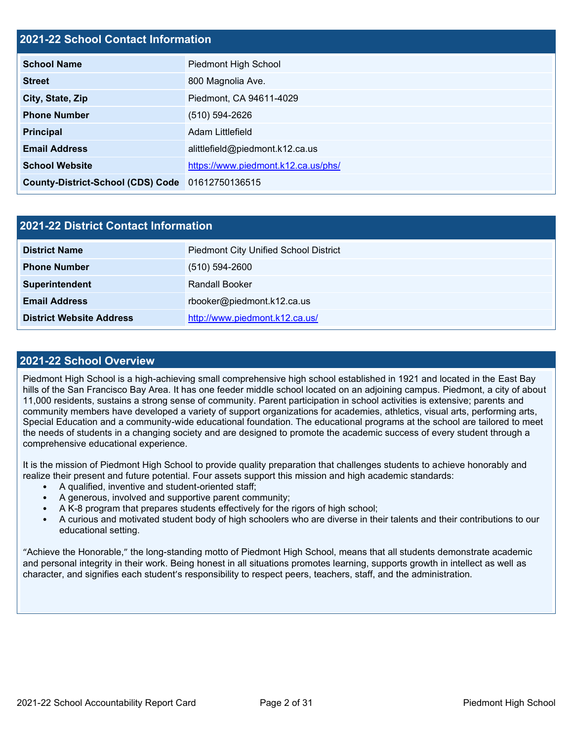#### **2021-22 School Contact Information**

| <b>School Name</b>                               | Piedmont High School                |  |  |  |
|--------------------------------------------------|-------------------------------------|--|--|--|
| <b>Street</b>                                    | 800 Magnolia Ave.                   |  |  |  |
| City, State, Zip                                 | Piedmont, CA 94611-4029             |  |  |  |
| <b>Phone Number</b>                              | $(510) 594 - 2626$                  |  |  |  |
| <b>Principal</b>                                 | Adam Littlefield                    |  |  |  |
| <b>Email Address</b>                             | alittlefield@piedmont.k12.ca.us     |  |  |  |
| <b>School Website</b>                            | https://www.piedmont.k12.ca.us/phs/ |  |  |  |
| County-District-School (CDS) Code 01612750136515 |                                     |  |  |  |

| 2021-22 District Contact Information |                                              |  |  |  |
|--------------------------------------|----------------------------------------------|--|--|--|
| <b>District Name</b>                 | <b>Piedmont City Unified School District</b> |  |  |  |
| <b>Phone Number</b>                  | $(510) 594 - 2600$                           |  |  |  |
| Superintendent                       | <b>Randall Booker</b>                        |  |  |  |
| <b>Email Address</b>                 | rbooker@piedmont.k12.ca.us                   |  |  |  |
| <b>District Website Address</b>      | http://www.piedmont.k12.ca.us/               |  |  |  |

#### **2021-22 School Overview**

Piedmont High School is a high-achieving small comprehensive high school established in 1921 and located in the East Bay hills of the San Francisco Bay Area. It has one feeder middle school located on an adjoining campus. Piedmont, a city of about 11,000 residents, sustains a strong sense of community. Parent participation in school activities is extensive; parents and community members have developed a variety of support organizations for academies, athletics, visual arts, performing arts, Special Education and a community-wide educational foundation. The educational programs at the school are tailored to meet the needs of students in a changing society and are designed to promote the academic success of every student through a comprehensive educational experience.

It is the mission of Piedmont High School to provide quality preparation that challenges students to achieve honorably and realize their present and future potential. Four assets support this mission and high academic standards:

- A qualified, inventive and student-oriented staff;
- A generous, involved and supportive parent community;
- A K-8 program that prepares students effectively for the rigors of high school;
- A curious and motivated student body of high schoolers who are diverse in their talents and their contributions to our educational setting.

"Achieve the Honorable," the long-standing motto of Piedmont High School, means that all students demonstrate academic and personal integrity in their work. Being honest in all situations promotes learning, supports growth in intellect as well as character, and signifies each student's responsibility to respect peers, teachers, staff, and the administration.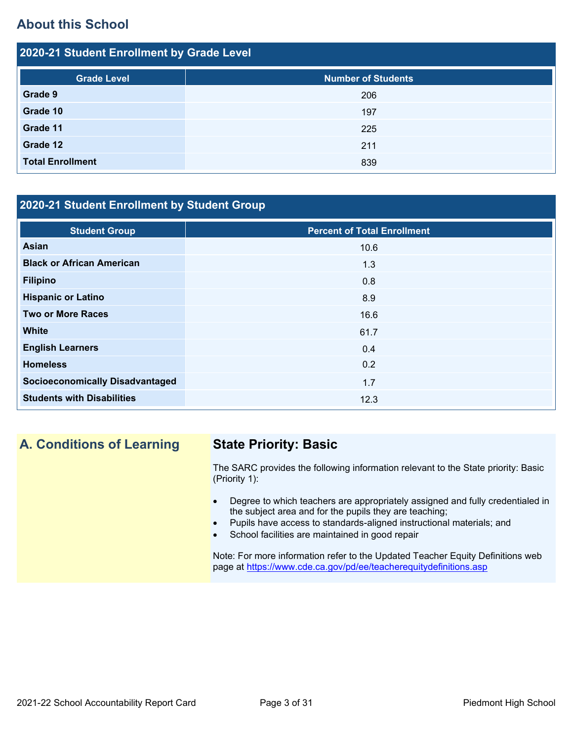## **About this School**

| 2020-21 Student Enrollment by Grade Level |                           |  |  |  |  |
|-------------------------------------------|---------------------------|--|--|--|--|
| <b>Grade Level</b>                        | <b>Number of Students</b> |  |  |  |  |
| Grade 9                                   | 206                       |  |  |  |  |
| Grade 10                                  | 197                       |  |  |  |  |
| Grade 11                                  | 225                       |  |  |  |  |
| Grade 12                                  | 211                       |  |  |  |  |
| <b>Total Enrollment</b>                   | 839                       |  |  |  |  |

## **2020-21 Student Enrollment by Student Group**

| <b>Student Group</b>                   | <b>Percent of Total Enrollment</b> |
|----------------------------------------|------------------------------------|
| <b>Asian</b>                           | 10.6                               |
| <b>Black or African American</b>       | 1.3                                |
| <b>Filipino</b>                        | 0.8                                |
| <b>Hispanic or Latino</b>              | 8.9                                |
| <b>Two or More Races</b>               | 16.6                               |
| <b>White</b>                           | 61.7                               |
| <b>English Learners</b>                | 0.4                                |
| <b>Homeless</b>                        | 0.2                                |
| <b>Socioeconomically Disadvantaged</b> | 1.7                                |
| <b>Students with Disabilities</b>      | 12.3                               |

## **A. Conditions of Learning State Priority: Basic**

The SARC provides the following information relevant to the State priority: Basic (Priority 1):

- Degree to which teachers are appropriately assigned and fully credentialed in the subject area and for the pupils they are teaching;
- Pupils have access to standards-aligned instructional materials; and
- School facilities are maintained in good repair

Note: For more information refer to the Updated Teacher Equity Definitions web page at<https://www.cde.ca.gov/pd/ee/teacherequitydefinitions.asp>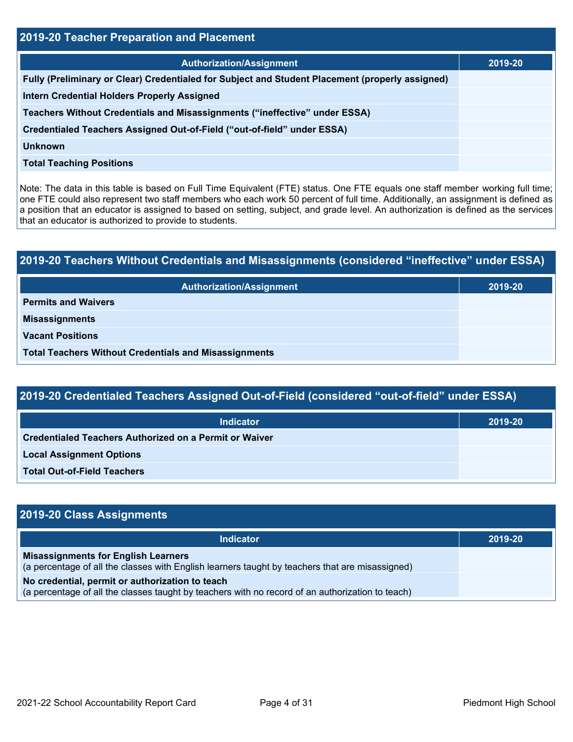| <b>2019-20 Teacher Preparation and Placement</b>                                                |         |  |  |
|-------------------------------------------------------------------------------------------------|---------|--|--|
| <b>Authorization/Assignment</b>                                                                 | 2019-20 |  |  |
| Fully (Preliminary or Clear) Credentialed for Subject and Student Placement (properly assigned) |         |  |  |
| <b>Intern Credential Holders Properly Assigned</b>                                              |         |  |  |
| Teachers Without Credentials and Misassignments ("ineffective" under ESSA)                      |         |  |  |
| Credentialed Teachers Assigned Out-of-Field ("out-of-field" under ESSA)                         |         |  |  |
| <b>Unknown</b>                                                                                  |         |  |  |
| <b>Total Teaching Positions</b>                                                                 |         |  |  |

Note: The data in this table is based on Full Time Equivalent (FTE) status. One FTE equals one staff member working full time; one FTE could also represent two staff members who each work 50 percent of full time. Additionally, an assignment is defined as a position that an educator is assigned to based on setting, subject, and grade level. An authorization is defined as the services that an educator is authorized to provide to students.

| 2019-20 Teachers Without Credentials and Misassignments (considered "ineffective" under ESSA) |         |  |  |  |
|-----------------------------------------------------------------------------------------------|---------|--|--|--|
| <b>Authorization/Assignment</b>                                                               | 2019-20 |  |  |  |
| <b>Permits and Waivers</b>                                                                    |         |  |  |  |
| <b>Misassignments</b>                                                                         |         |  |  |  |
| <b>Vacant Positions</b>                                                                       |         |  |  |  |
| <b>Total Teachers Without Credentials and Misassignments</b>                                  |         |  |  |  |

| 2019-20 Credentialed Teachers Assigned Out-of-Field (considered "out-of-field" under ESSA) |  |
|--------------------------------------------------------------------------------------------|--|
|--------------------------------------------------------------------------------------------|--|

| <b>Indicator</b>                                              | 2019-20 |
|---------------------------------------------------------------|---------|
| <b>Credentialed Teachers Authorized on a Permit or Waiver</b> |         |
| <b>Local Assignment Options</b>                               |         |
| <b>Total Out-of-Field Teachers</b>                            |         |

| 2019-20 Class Assignments                                                                                                                           |         |  |  |
|-----------------------------------------------------------------------------------------------------------------------------------------------------|---------|--|--|
| <b>Indicator</b>                                                                                                                                    | 2019-20 |  |  |
| <b>Misassignments for English Learners</b><br>(a percentage of all the classes with English learners taught by teachers that are misassigned)       |         |  |  |
| No credential, permit or authorization to teach<br>(a percentage of all the classes taught by teachers with no record of an authorization to teach) |         |  |  |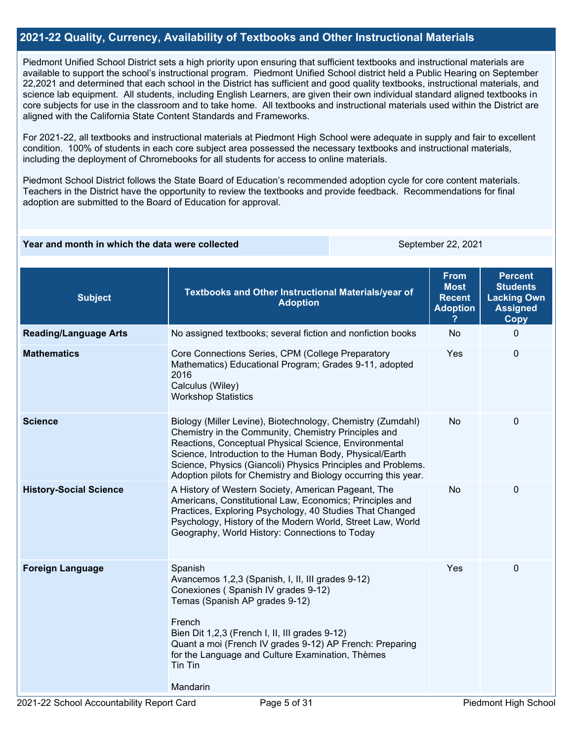#### **2021-22 Quality, Currency, Availability of Textbooks and Other Instructional Materials**

Piedmont Unified School District sets a high priority upon ensuring that sufficient textbooks and instructional materials are available to support the school's instructional program. Piedmont Unified School district held a Public Hearing on September 22,2021 and determined that each school in the District has sufficient and good quality textbooks, instructional materials, and science lab equipment. All students, including English Learners, are given their own individual standard aligned textbooks in core subjects for use in the classroom and to take home. All textbooks and instructional materials used within the District are aligned with the California State Content Standards and Frameworks.

For 2021-22, all textbooks and instructional materials at Piedmont High School were adequate in supply and fair to excellent condition. 100% of students in each core subject area possessed the necessary textbooks and instructional materials, including the deployment of Chromebooks for all students for access to online materials.

Piedmont School District follows the State Board of Education's recommended adoption cycle for core content materials. Teachers in the District have the opportunity to review the textbooks and provide feedback. Recommendations for final adoption are submitted to the Board of Education for approval.

#### **Year and month in which the data were collected** September 22, 2021

| <b>Subject</b>                | Textbooks and Other Instructional Materials/year of<br><b>Adoption</b>                                                                                                                                                                                                                                                                                                    | <b>From</b><br><b>Most</b><br><b>Recent</b><br><b>Adoption</b> | <b>Percent</b><br><b>Students</b><br><b>Lacking Own</b><br><b>Assigned</b><br>Copy |
|-------------------------------|---------------------------------------------------------------------------------------------------------------------------------------------------------------------------------------------------------------------------------------------------------------------------------------------------------------------------------------------------------------------------|----------------------------------------------------------------|------------------------------------------------------------------------------------|
| <b>Reading/Language Arts</b>  | No assigned textbooks; several fiction and nonfiction books                                                                                                                                                                                                                                                                                                               | <b>No</b>                                                      | 0                                                                                  |
| <b>Mathematics</b>            | Core Connections Series, CPM (College Preparatory<br>Mathematics) Educational Program; Grades 9-11, adopted<br>2016<br>Calculus (Wiley)<br><b>Workshop Statistics</b>                                                                                                                                                                                                     | Yes                                                            | 0                                                                                  |
| <b>Science</b>                | Biology (Miller Levine), Biotechnology, Chemistry (Zumdahl)<br>Chemistry in the Community, Chemistry Principles and<br>Reactions, Conceptual Physical Science, Environmental<br>Science, Introduction to the Human Body, Physical/Earth<br>Science, Physics (Giancoli) Physics Principles and Problems.<br>Adoption pilots for Chemistry and Biology occurring this year. | <b>No</b>                                                      | 0                                                                                  |
| <b>History-Social Science</b> | A History of Western Society, American Pageant, The<br>Americans, Constitutional Law, Economics; Principles and<br>Practices, Exploring Psychology, 40 Studies That Changed<br>Psychology, History of the Modern World, Street Law, World<br>Geography, World History: Connections to Today                                                                               | <b>No</b>                                                      | $\mathbf{0}$                                                                       |
| <b>Foreign Language</b>       | Spanish<br>Avancemos 1,2,3 (Spanish, I, II, III grades 9-12)<br>Conexiones (Spanish IV grades 9-12)<br>Temas (Spanish AP grades 9-12)<br>French<br>Bien Dit 1,2,3 (French I, II, III grades 9-12)<br>Quant a moi (French IV grades 9-12) AP French: Preparing<br>for the Language and Culture Examination, Thèmes<br>Tin Tin<br>Mandarin                                  | Yes                                                            | 0                                                                                  |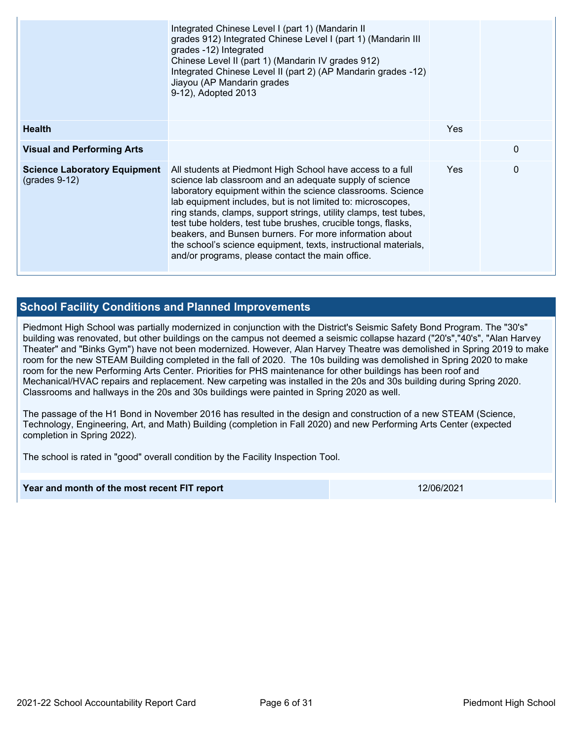|                                                        | Integrated Chinese Level I (part 1) (Mandarin II<br>grades 912) Integrated Chinese Level I (part 1) (Mandarin III<br>grades -12) Integrated<br>Chinese Level II (part 1) (Mandarin IV grades 912)<br>Integrated Chinese Level II (part 2) (AP Mandarin grades -12)<br>Jiayou (AP Mandarin grades<br>9-12), Adopted 2013                                                                                                                                                                                                                                                     |            |              |
|--------------------------------------------------------|-----------------------------------------------------------------------------------------------------------------------------------------------------------------------------------------------------------------------------------------------------------------------------------------------------------------------------------------------------------------------------------------------------------------------------------------------------------------------------------------------------------------------------------------------------------------------------|------------|--------------|
| <b>Health</b>                                          |                                                                                                                                                                                                                                                                                                                                                                                                                                                                                                                                                                             | <b>Yes</b> |              |
| <b>Visual and Performing Arts</b>                      |                                                                                                                                                                                                                                                                                                                                                                                                                                                                                                                                                                             |            | $\mathbf{0}$ |
| <b>Science Laboratory Equipment</b><br>$(grades 9-12)$ | All students at Piedmont High School have access to a full<br>science lab classroom and an adequate supply of science<br>laboratory equipment within the science classrooms. Science<br>lab equipment includes, but is not limited to: microscopes,<br>ring stands, clamps, support strings, utility clamps, test tubes,<br>test tube holders, test tube brushes, crucible tongs, flasks,<br>beakers, and Bunsen burners. For more information about<br>the school's science equipment, texts, instructional materials,<br>and/or programs, please contact the main office. | Yes.       | $\mathbf{0}$ |

#### **School Facility Conditions and Planned Improvements**

Piedmont High School was partially modernized in conjunction with the District's Seismic Safety Bond Program. The "30's" building was renovated, but other buildings on the campus not deemed a seismic collapse hazard ("20's","40's", "Alan Harvey Theater" and "Binks Gym") have not been modernized. However, Alan Harvey Theatre was demolished in Spring 2019 to make room for the new STEAM Building completed in the fall of 2020. The 10s building was demolished in Spring 2020 to make room for the new Performing Arts Center. Priorities for PHS maintenance for other buildings has been roof and Mechanical/HVAC repairs and replacement. New carpeting was installed in the 20s and 30s building during Spring 2020. Classrooms and hallways in the 20s and 30s buildings were painted in Spring 2020 as well.

The passage of the H1 Bond in November 2016 has resulted in the design and construction of a new STEAM (Science, Technology, Engineering, Art, and Math) Building (completion in Fall 2020) and new Performing Arts Center (expected completion in Spring 2022).

The school is rated in "good" overall condition by the Facility Inspection Tool.

#### **Year and month of the most recent FIT report** 12/06/2021 12/06/2021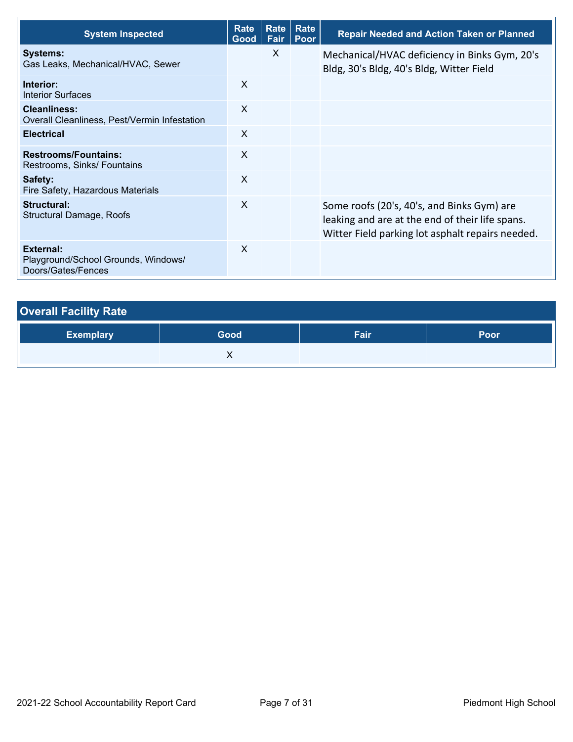| <b>System Inspected</b>                                                | Rate<br>Good | <b>Rate</b><br>Fair | Rate<br>Poor | <b>Repair Needed and Action Taken or Planned</b>                                                                                                  |
|------------------------------------------------------------------------|--------------|---------------------|--------------|---------------------------------------------------------------------------------------------------------------------------------------------------|
| <b>Systems:</b><br>Gas Leaks, Mechanical/HVAC, Sewer                   |              | $\mathsf{X}$        |              | Mechanical/HVAC deficiency in Binks Gym, 20's<br>Bldg, 30's Bldg, 40's Bldg, Witter Field                                                         |
| Interior:<br><b>Interior Surfaces</b>                                  | X            |                     |              |                                                                                                                                                   |
| <b>Cleanliness:</b><br>Overall Cleanliness, Pest/Vermin Infestation    | X            |                     |              |                                                                                                                                                   |
| <b>Electrical</b>                                                      | X            |                     |              |                                                                                                                                                   |
| <b>Restrooms/Fountains:</b><br>Restrooms, Sinks/ Fountains             | X            |                     |              |                                                                                                                                                   |
| Safety:<br>Fire Safety, Hazardous Materials                            | X            |                     |              |                                                                                                                                                   |
| <b>Structural:</b><br><b>Structural Damage, Roofs</b>                  | $\sf X$      |                     |              | Some roofs (20's, 40's, and Binks Gym) are<br>leaking and are at the end of their life spans.<br>Witter Field parking lot asphalt repairs needed. |
| External:<br>Playground/School Grounds, Windows/<br>Doors/Gates/Fences | X            |                     |              |                                                                                                                                                   |

| <b>Overall Facility Rate</b> |      |      |             |
|------------------------------|------|------|-------------|
| <b>Exemplary</b>             | Good | Fair | <b>Poor</b> |
|                              |      |      |             |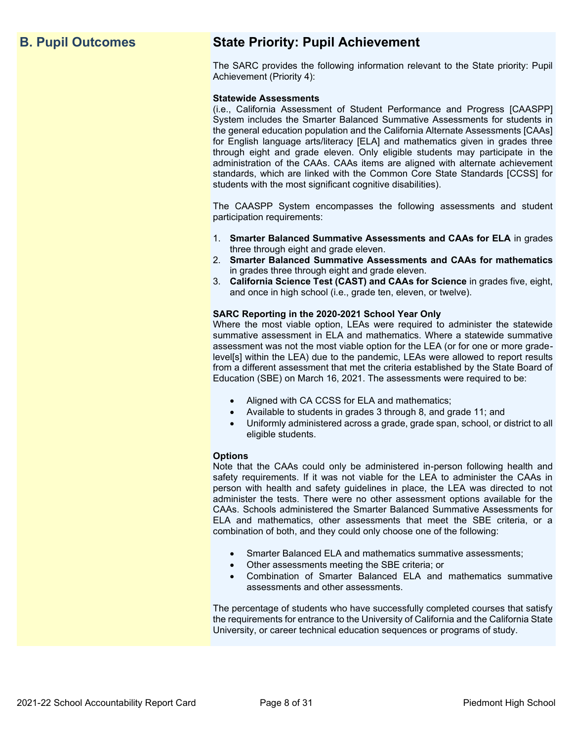## **B. Pupil Outcomes State Priority: Pupil Achievement**

The SARC provides the following information relevant to the State priority: Pupil Achievement (Priority 4):

#### **Statewide Assessments**

(i.e., California Assessment of Student Performance and Progress [CAASPP] System includes the Smarter Balanced Summative Assessments for students in the general education population and the California Alternate Assessments [CAAs] for English language arts/literacy [ELA] and mathematics given in grades three through eight and grade eleven. Only eligible students may participate in the administration of the CAAs. CAAs items are aligned with alternate achievement standards, which are linked with the Common Core State Standards [CCSS] for students with the most significant cognitive disabilities).

The CAASPP System encompasses the following assessments and student participation requirements:

- 1. **Smarter Balanced Summative Assessments and CAAs for ELA** in grades three through eight and grade eleven.
- 2. **Smarter Balanced Summative Assessments and CAAs for mathematics** in grades three through eight and grade eleven.
- 3. **California Science Test (CAST) and CAAs for Science** in grades five, eight, and once in high school (i.e., grade ten, eleven, or twelve).

#### **SARC Reporting in the 2020-2021 School Year Only**

Where the most viable option, LEAs were required to administer the statewide summative assessment in ELA and mathematics. Where a statewide summative assessment was not the most viable option for the LEA (or for one or more gradelevel[s] within the LEA) due to the pandemic, LEAs were allowed to report results from a different assessment that met the criteria established by the State Board of Education (SBE) on March 16, 2021. The assessments were required to be:

- Aligned with CA CCSS for ELA and mathematics;
- Available to students in grades 3 through 8, and grade 11; and
- Uniformly administered across a grade, grade span, school, or district to all eligible students.

#### **Options**

Note that the CAAs could only be administered in-person following health and safety requirements. If it was not viable for the LEA to administer the CAAs in person with health and safety guidelines in place, the LEA was directed to not administer the tests. There were no other assessment options available for the CAAs. Schools administered the Smarter Balanced Summative Assessments for ELA and mathematics, other assessments that meet the SBE criteria, or a combination of both, and they could only choose one of the following:

- Smarter Balanced ELA and mathematics summative assessments;
- Other assessments meeting the SBE criteria; or
- Combination of Smarter Balanced ELA and mathematics summative assessments and other assessments.

The percentage of students who have successfully completed courses that satisfy the requirements for entrance to the University of California and the California State University, or career technical education sequences or programs of study.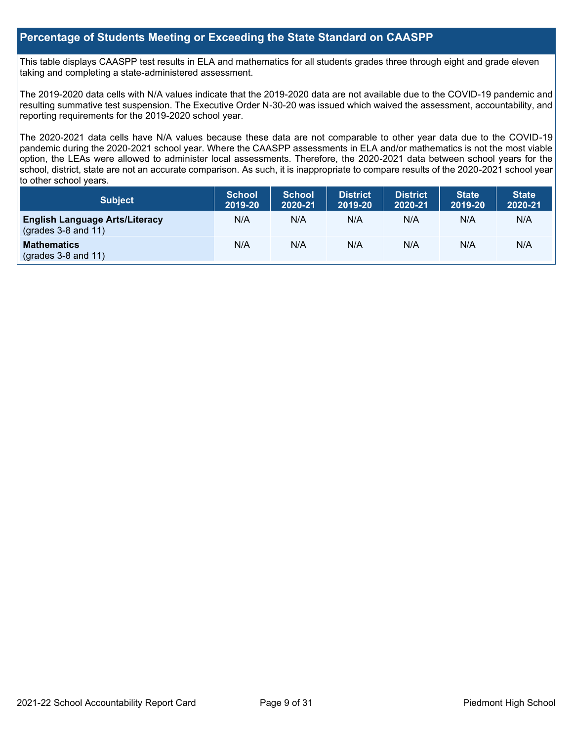#### **Percentage of Students Meeting or Exceeding the State Standard on CAASPP**

This table displays CAASPP test results in ELA and mathematics for all students grades three through eight and grade eleven taking and completing a state-administered assessment.

The 2019-2020 data cells with N/A values indicate that the 2019-2020 data are not available due to the COVID-19 pandemic and resulting summative test suspension. The Executive Order N-30-20 was issued which waived the assessment, accountability, and reporting requirements for the 2019-2020 school year.

The 2020-2021 data cells have N/A values because these data are not comparable to other year data due to the COVID-19 pandemic during the 2020-2021 school year. Where the CAASPP assessments in ELA and/or mathematics is not the most viable option, the LEAs were allowed to administer local assessments. Therefore, the 2020-2021 data between school years for the school, district, state are not an accurate comparison. As such, it is inappropriate to compare results of the 2020-2021 school year to other school years.

| Subject                                                              | <b>School</b><br>2019-20 | <b>School</b><br>2020-21 | <b>District</b><br>2019-20 | <b>District</b><br>2020-21 | <b>State</b><br>2019-20 | <b>State</b><br>2020-21 |
|----------------------------------------------------------------------|--------------------------|--------------------------|----------------------------|----------------------------|-------------------------|-------------------------|
| <b>English Language Arts/Literacy</b><br>$\left($ grades 3-8 and 11) | N/A                      | N/A                      | N/A                        | N/A                        | N/A                     | N/A                     |
| <b>Mathematics</b><br>$(grades 3-8 and 11)$                          | N/A                      | N/A                      | N/A                        | N/A                        | N/A                     | N/A                     |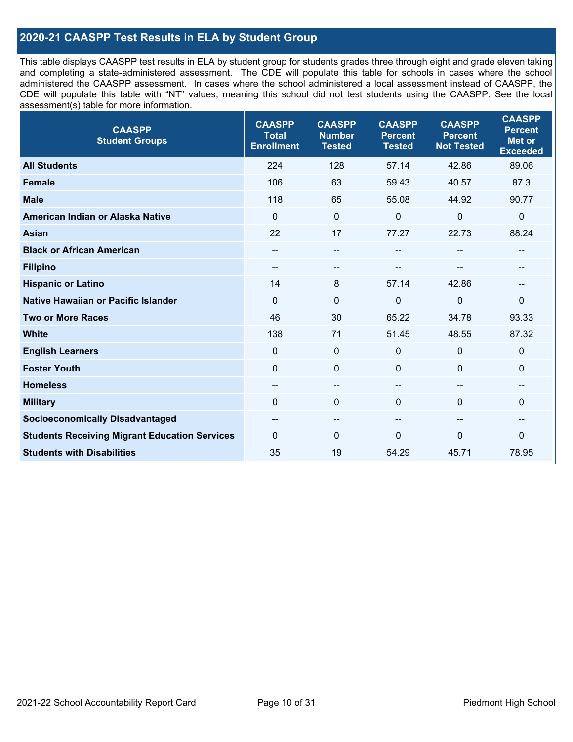### **2020-21 CAASPP Test Results in ELA by Student Group**

This table displays CAASPP test results in ELA by student group for students grades three through eight and grade eleven taking and completing a state-administered assessment. The CDE will populate this table for schools in cases where the school administered the CAASPP assessment. In cases where the school administered a local assessment instead of CAASPP, the CDE will populate this table with "NT" values, meaning this school did not test students using the CAASPP. See the local assessment(s) table for more information.

| <b>CAASPP</b><br><b>Student Groups</b>               | <b>CAASPP</b><br><b>Total</b><br><b>Enrollment</b> | <b>CAASPP</b><br><b>Number</b><br><b>Tested</b> | <b>CAASPP</b><br><b>Percent</b><br><b>Tested</b> | <b>CAASPP</b><br><b>Percent</b><br><b>Not Tested</b> | <b>CAASPP</b><br><b>Percent</b><br><b>Met or</b><br><b>Exceeded</b> |
|------------------------------------------------------|----------------------------------------------------|-------------------------------------------------|--------------------------------------------------|------------------------------------------------------|---------------------------------------------------------------------|
| <b>All Students</b>                                  | 224                                                | 128                                             | 57.14                                            | 42.86                                                | 89.06                                                               |
| <b>Female</b>                                        | 106                                                | 63                                              | 59.43                                            | 40.57                                                | 87.3                                                                |
| <b>Male</b>                                          | 118                                                | 65                                              | 55.08                                            | 44.92                                                | 90.77                                                               |
| American Indian or Alaska Native                     | $\mathbf 0$                                        | $\pmb{0}$                                       | 0                                                | 0                                                    | $\pmb{0}$                                                           |
| <b>Asian</b>                                         | 22                                                 | 17                                              | 77.27                                            | 22.73                                                | 88.24                                                               |
| <b>Black or African American</b>                     | --                                                 | $\overline{\phantom{a}}$                        | --                                               | $\sim$                                               | --                                                                  |
| <b>Filipino</b>                                      | $- -$                                              | --                                              |                                                  |                                                      |                                                                     |
| <b>Hispanic or Latino</b>                            | 14                                                 | 8                                               | 57.14                                            | 42.86                                                | --                                                                  |
| Native Hawaiian or Pacific Islander                  | $\mathbf 0$                                        | $\mathbf 0$                                     | 0                                                | $\overline{0}$                                       | 0                                                                   |
| <b>Two or More Races</b>                             | 46                                                 | 30                                              | 65.22                                            | 34.78                                                | 93.33                                                               |
| <b>White</b>                                         | 138                                                | 71                                              | 51.45                                            | 48.55                                                | 87.32                                                               |
| <b>English Learners</b>                              | $\mathbf 0$                                        | $\mathbf 0$                                     | $\mathbf{0}$                                     | $\mathbf 0$                                          | $\mathbf 0$                                                         |
| <b>Foster Youth</b>                                  | 0                                                  | $\mathbf 0$                                     | $\mathbf 0$                                      | $\mathbf 0$                                          | $\mathbf 0$                                                         |
| <b>Homeless</b>                                      | $\qquad \qquad -$                                  | $\overline{\phantom{a}}$                        | --                                               | $\sim$                                               | --                                                                  |
| <b>Military</b>                                      | $\Omega$                                           | $\pmb{0}$                                       | $\mathbf{0}$                                     | $\Omega$                                             | 0                                                                   |
| <b>Socioeconomically Disadvantaged</b>               | --                                                 | $\overline{\phantom{m}}$                        | --                                               | --                                                   | --                                                                  |
| <b>Students Receiving Migrant Education Services</b> | $\Omega$                                           | 0                                               | $\Omega$                                         | 0                                                    | 0                                                                   |
| <b>Students with Disabilities</b>                    | 35                                                 | 19                                              | 54.29                                            | 45.71                                                | 78.95                                                               |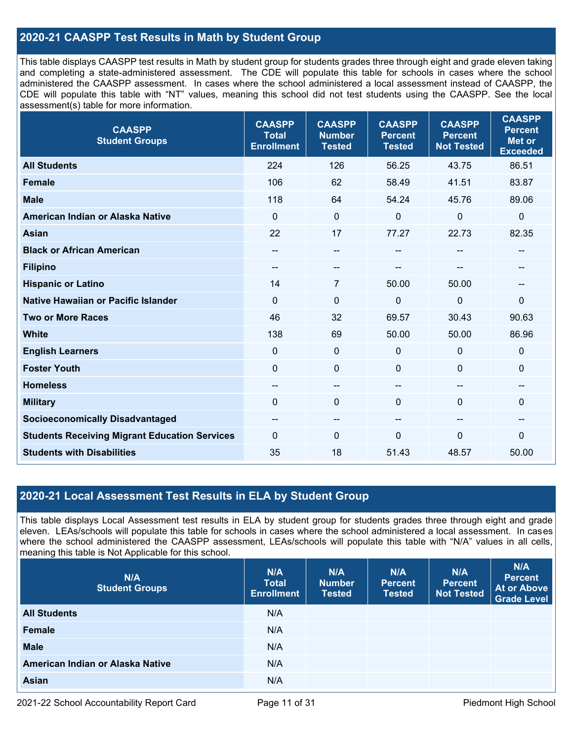### **2020-21 CAASPP Test Results in Math by Student Group**

This table displays CAASPP test results in Math by student group for students grades three through eight and grade eleven taking and completing a state-administered assessment. The CDE will populate this table for schools in cases where the school administered the CAASPP assessment. In cases where the school administered a local assessment instead of CAASPP, the CDE will populate this table with "NT" values, meaning this school did not test students using the CAASPP. See the local assessment(s) table for more information.

| <b>CAASPP</b><br><b>Student Groups</b>               | <b>CAASPP</b><br><b>Total</b><br><b>Enrollment</b> | <b>CAASPP</b><br><b>Number</b><br><b>Tested</b> | <b>CAASPP</b><br><b>Percent</b><br><b>Tested</b> | <b>CAASPP</b><br><b>Percent</b><br><b>Not Tested</b> | <b>CAASPP</b><br><b>Percent</b><br><b>Met or</b><br><b>Exceeded</b> |
|------------------------------------------------------|----------------------------------------------------|-------------------------------------------------|--------------------------------------------------|------------------------------------------------------|---------------------------------------------------------------------|
| <b>All Students</b>                                  | 224                                                | 126                                             | 56.25                                            | 43.75                                                | 86.51                                                               |
| <b>Female</b>                                        | 106                                                | 62                                              | 58.49                                            | 41.51                                                | 83.87                                                               |
| <b>Male</b>                                          | 118                                                | 64                                              | 54.24                                            | 45.76                                                | 89.06                                                               |
| American Indian or Alaska Native                     | $\mathbf{0}$                                       | $\mathbf 0$                                     | 0                                                | $\mathbf 0$                                          | $\pmb{0}$                                                           |
| <b>Asian</b>                                         | 22                                                 | 17                                              | 77.27                                            | 22.73                                                | 82.35                                                               |
| <b>Black or African American</b>                     | --                                                 | $\overline{\phantom{m}}$                        | --                                               | $\sim$                                               | $\overline{\phantom{m}}$                                            |
| <b>Filipino</b>                                      | --                                                 | --                                              |                                                  |                                                      |                                                                     |
| <b>Hispanic or Latino</b>                            | 14                                                 | 7                                               | 50.00                                            | 50.00                                                | --                                                                  |
| Native Hawaiian or Pacific Islander                  | $\mathbf{0}$                                       | $\mathbf 0$                                     | 0                                                | $\mathbf 0$                                          | $\mathbf 0$                                                         |
| <b>Two or More Races</b>                             | 46                                                 | 32                                              | 69.57                                            | 30.43                                                | 90.63                                                               |
| <b>White</b>                                         | 138                                                | 69                                              | 50.00                                            | 50.00                                                | 86.96                                                               |
| <b>English Learners</b>                              | $\mathbf 0$                                        | $\mathbf 0$                                     | 0                                                | $\mathbf 0$                                          | $\mathbf 0$                                                         |
| <b>Foster Youth</b>                                  | $\mathbf{0}$                                       | $\mathbf 0$                                     | 0                                                | $\mathbf 0$                                          | $\mathbf{0}$                                                        |
| <b>Homeless</b>                                      | --                                                 | --                                              | --                                               | --                                                   | --                                                                  |
| <b>Military</b>                                      | $\mathbf 0$                                        | 0                                               | 0                                                | $\Omega$                                             | $\mathbf 0$                                                         |
| <b>Socioeconomically Disadvantaged</b>               | $\qquad \qquad -$                                  | --                                              | --                                               | --                                                   | --                                                                  |
| <b>Students Receiving Migrant Education Services</b> | $\mathbf{0}$                                       | $\Omega$                                        | $\Omega$                                         | $\Omega$                                             | $\mathbf{0}$                                                        |
| <b>Students with Disabilities</b>                    | 35                                                 | 18                                              | 51.43                                            | 48.57                                                | 50.00                                                               |

#### **2020-21 Local Assessment Test Results in ELA by Student Group**

This table displays Local Assessment test results in ELA by student group for students grades three through eight and grade eleven. LEAs/schools will populate this table for schools in cases where the school administered a local assessment. In cases where the school administered the CAASPP assessment, LEAs/schools will populate this table with "N/A" values in all cells, meaning this table is Not Applicable for this school.

| N/A<br><b>Student Groups</b>     | N/A<br><b>Total</b><br><b>Enrollment</b> | N/A<br><b>Number</b><br><b>Tested</b> | N/A<br><b>Percent</b><br><b>Tested</b> | N/A<br><b>Percent</b><br><b>Not Tested</b> | N/A<br><b>Percent</b><br><b>At or Above</b><br><b>Grade Level</b> |
|----------------------------------|------------------------------------------|---------------------------------------|----------------------------------------|--------------------------------------------|-------------------------------------------------------------------|
| <b>All Students</b>              | N/A                                      |                                       |                                        |                                            |                                                                   |
| <b>Female</b>                    | N/A                                      |                                       |                                        |                                            |                                                                   |
| <b>Male</b>                      | N/A                                      |                                       |                                        |                                            |                                                                   |
| American Indian or Alaska Native | N/A                                      |                                       |                                        |                                            |                                                                   |
| <b>Asian</b>                     | N/A                                      |                                       |                                        |                                            |                                                                   |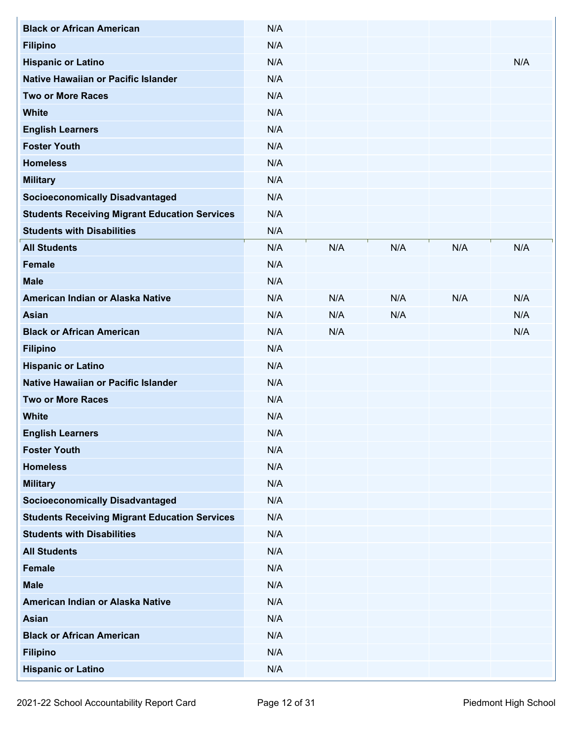| <b>Black or African American</b>                     | N/A |     |     |     |     |
|------------------------------------------------------|-----|-----|-----|-----|-----|
| <b>Filipino</b>                                      | N/A |     |     |     |     |
| <b>Hispanic or Latino</b>                            | N/A |     |     |     | N/A |
| Native Hawaiian or Pacific Islander                  | N/A |     |     |     |     |
| <b>Two or More Races</b>                             | N/A |     |     |     |     |
| <b>White</b>                                         | N/A |     |     |     |     |
| <b>English Learners</b>                              | N/A |     |     |     |     |
| <b>Foster Youth</b>                                  | N/A |     |     |     |     |
| <b>Homeless</b>                                      | N/A |     |     |     |     |
| <b>Military</b>                                      | N/A |     |     |     |     |
| <b>Socioeconomically Disadvantaged</b>               | N/A |     |     |     |     |
| <b>Students Receiving Migrant Education Services</b> | N/A |     |     |     |     |
| <b>Students with Disabilities</b>                    | N/A |     |     |     |     |
| <b>All Students</b>                                  | N/A | N/A | N/A | N/A | N/A |
| <b>Female</b>                                        | N/A |     |     |     |     |
| <b>Male</b>                                          | N/A |     |     |     |     |
| American Indian or Alaska Native                     | N/A | N/A | N/A | N/A | N/A |
| <b>Asian</b>                                         | N/A | N/A | N/A |     | N/A |
| <b>Black or African American</b>                     | N/A | N/A |     |     | N/A |
| <b>Filipino</b>                                      | N/A |     |     |     |     |
| <b>Hispanic or Latino</b>                            | N/A |     |     |     |     |
| Native Hawaiian or Pacific Islander                  | N/A |     |     |     |     |
| <b>Two or More Races</b>                             | N/A |     |     |     |     |
| <b>White</b>                                         | N/A |     |     |     |     |
| <b>English Learners</b>                              | N/A |     |     |     |     |
| <b>Foster Youth</b>                                  | N/A |     |     |     |     |
| <b>Homeless</b>                                      | N/A |     |     |     |     |
| <b>Military</b>                                      | N/A |     |     |     |     |
| <b>Socioeconomically Disadvantaged</b>               | N/A |     |     |     |     |
| <b>Students Receiving Migrant Education Services</b> | N/A |     |     |     |     |
| <b>Students with Disabilities</b>                    | N/A |     |     |     |     |
| <b>All Students</b>                                  | N/A |     |     |     |     |
| <b>Female</b>                                        | N/A |     |     |     |     |
| <b>Male</b>                                          | N/A |     |     |     |     |
| American Indian or Alaska Native                     | N/A |     |     |     |     |
| Asian                                                | N/A |     |     |     |     |
| <b>Black or African American</b>                     | N/A |     |     |     |     |
| <b>Filipino</b>                                      | N/A |     |     |     |     |
| <b>Hispanic or Latino</b>                            | N/A |     |     |     |     |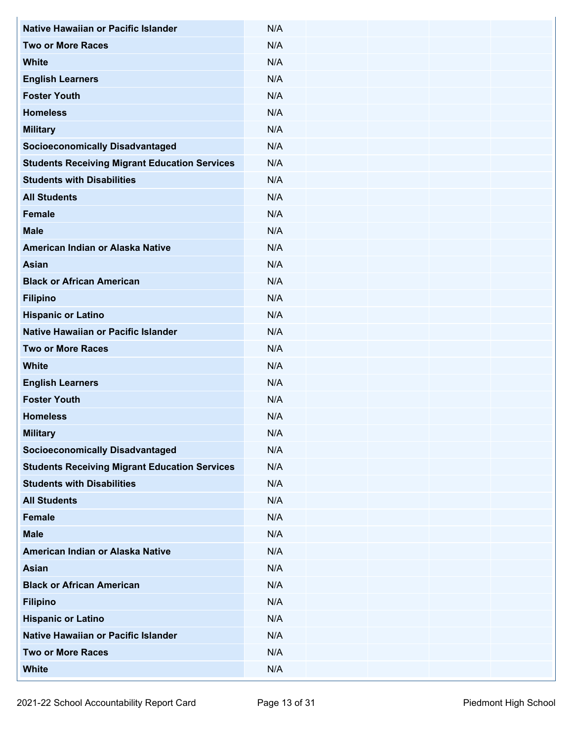| Native Hawaiian or Pacific Islander                  | N/A |  |
|------------------------------------------------------|-----|--|
| <b>Two or More Races</b>                             |     |  |
|                                                      | N/A |  |
| <b>White</b>                                         | N/A |  |
| <b>English Learners</b>                              | N/A |  |
| <b>Foster Youth</b>                                  | N/A |  |
| <b>Homeless</b>                                      | N/A |  |
| <b>Military</b>                                      | N/A |  |
| <b>Socioeconomically Disadvantaged</b>               | N/A |  |
| <b>Students Receiving Migrant Education Services</b> | N/A |  |
| <b>Students with Disabilities</b>                    | N/A |  |
| <b>All Students</b>                                  | N/A |  |
| <b>Female</b>                                        | N/A |  |
| <b>Male</b>                                          | N/A |  |
| American Indian or Alaska Native                     | N/A |  |
| <b>Asian</b>                                         | N/A |  |
| <b>Black or African American</b>                     | N/A |  |
| <b>Filipino</b>                                      | N/A |  |
| <b>Hispanic or Latino</b>                            | N/A |  |
| Native Hawaiian or Pacific Islander                  | N/A |  |
| <b>Two or More Races</b>                             | N/A |  |
| <b>White</b>                                         | N/A |  |
| <b>English Learners</b>                              | N/A |  |
| <b>Foster Youth</b>                                  | N/A |  |
| <b>Homeless</b>                                      | N/A |  |
| <b>Military</b>                                      | N/A |  |
| <b>Socioeconomically Disadvantaged</b>               | N/A |  |
| <b>Students Receiving Migrant Education Services</b> | N/A |  |
| <b>Students with Disabilities</b>                    | N/A |  |
| <b>All Students</b>                                  | N/A |  |
| Female                                               | N/A |  |
| <b>Male</b>                                          | N/A |  |
| American Indian or Alaska Native                     | N/A |  |
| <b>Asian</b>                                         | N/A |  |
| <b>Black or African American</b>                     | N/A |  |
| <b>Filipino</b>                                      | N/A |  |
| <b>Hispanic or Latino</b>                            | N/A |  |
| Native Hawaiian or Pacific Islander                  | N/A |  |
| <b>Two or More Races</b>                             | N/A |  |
| <b>White</b>                                         | N/A |  |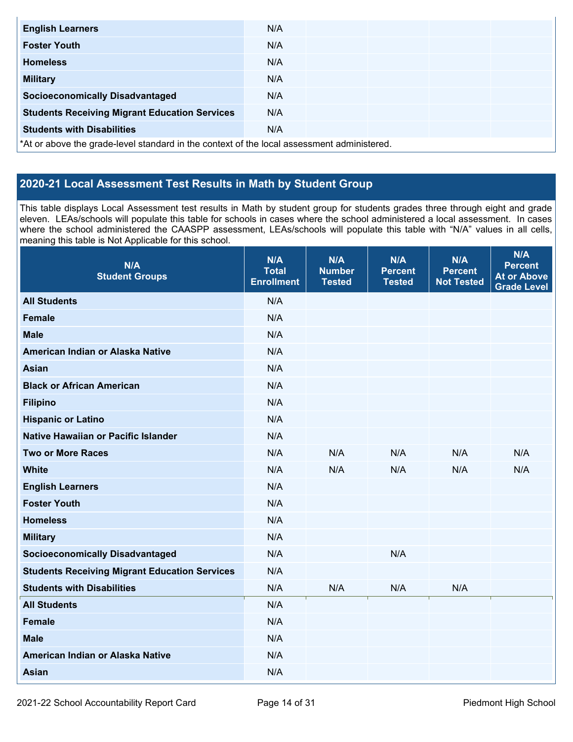| <b>English Learners</b>                                                                    | N/A |  |  |  |  |  |  |
|--------------------------------------------------------------------------------------------|-----|--|--|--|--|--|--|
| <b>Foster Youth</b>                                                                        | N/A |  |  |  |  |  |  |
| <b>Homeless</b>                                                                            | N/A |  |  |  |  |  |  |
| <b>Military</b>                                                                            | N/A |  |  |  |  |  |  |
| <b>Socioeconomically Disadvantaged</b>                                                     | N/A |  |  |  |  |  |  |
| <b>Students Receiving Migrant Education Services</b>                                       | N/A |  |  |  |  |  |  |
| <b>Students with Disabilities</b>                                                          | N/A |  |  |  |  |  |  |
| *At or above the grade-level standard in the context of the local assessment administered. |     |  |  |  |  |  |  |

## **2020-21 Local Assessment Test Results in Math by Student Group**

This table displays Local Assessment test results in Math by student group for students grades three through eight and grade eleven. LEAs/schools will populate this table for schools in cases where the school administered a local assessment. In cases where the school administered the CAASPP assessment, LEAs/schools will populate this table with "N/A" values in all cells, meaning this table is Not Applicable for this school.

| N/A<br><b>Student Groups</b>                         | N/A<br><b>Total</b><br><b>Enrollment</b> | N/A<br><b>Number</b><br><b>Tested</b> | N/A<br><b>Percent</b><br><b>Tested</b> | N/A<br><b>Percent</b><br><b>Not Tested</b> | N/A<br><b>Percent</b><br><b>At or Above</b><br><b>Grade Level</b> |
|------------------------------------------------------|------------------------------------------|---------------------------------------|----------------------------------------|--------------------------------------------|-------------------------------------------------------------------|
| <b>All Students</b>                                  | N/A                                      |                                       |                                        |                                            |                                                                   |
| <b>Female</b>                                        | N/A                                      |                                       |                                        |                                            |                                                                   |
| <b>Male</b>                                          | N/A                                      |                                       |                                        |                                            |                                                                   |
| American Indian or Alaska Native                     | N/A                                      |                                       |                                        |                                            |                                                                   |
| <b>Asian</b>                                         | N/A                                      |                                       |                                        |                                            |                                                                   |
| <b>Black or African American</b>                     | N/A                                      |                                       |                                        |                                            |                                                                   |
| <b>Filipino</b>                                      | N/A                                      |                                       |                                        |                                            |                                                                   |
| <b>Hispanic or Latino</b>                            | N/A                                      |                                       |                                        |                                            |                                                                   |
| Native Hawaiian or Pacific Islander                  | N/A                                      |                                       |                                        |                                            |                                                                   |
| <b>Two or More Races</b>                             | N/A                                      | N/A                                   | N/A                                    | N/A                                        | N/A                                                               |
| <b>White</b>                                         | N/A                                      | N/A                                   | N/A                                    | N/A                                        | N/A                                                               |
| <b>English Learners</b>                              | N/A                                      |                                       |                                        |                                            |                                                                   |
| <b>Foster Youth</b>                                  | N/A                                      |                                       |                                        |                                            |                                                                   |
| <b>Homeless</b>                                      | N/A                                      |                                       |                                        |                                            |                                                                   |
| <b>Military</b>                                      | N/A                                      |                                       |                                        |                                            |                                                                   |
| <b>Socioeconomically Disadvantaged</b>               | N/A                                      |                                       | N/A                                    |                                            |                                                                   |
| <b>Students Receiving Migrant Education Services</b> | N/A                                      |                                       |                                        |                                            |                                                                   |
| <b>Students with Disabilities</b>                    | N/A                                      | N/A                                   | N/A                                    | N/A                                        |                                                                   |
| <b>All Students</b>                                  | N/A                                      |                                       |                                        |                                            |                                                                   |
| <b>Female</b>                                        | N/A                                      |                                       |                                        |                                            |                                                                   |
| <b>Male</b>                                          | N/A                                      |                                       |                                        |                                            |                                                                   |
| American Indian or Alaska Native                     | N/A                                      |                                       |                                        |                                            |                                                                   |
| <b>Asian</b>                                         | N/A                                      |                                       |                                        |                                            |                                                                   |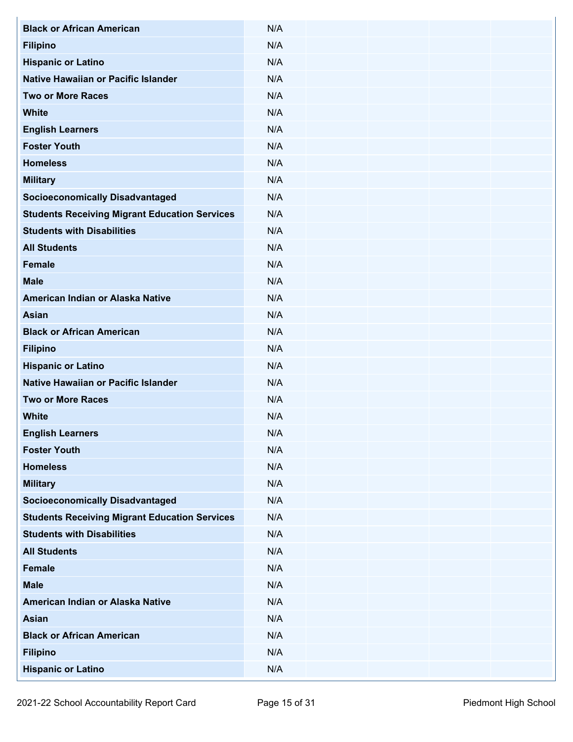| <b>Black or African American</b>                     | N/A |
|------------------------------------------------------|-----|
| <b>Filipino</b>                                      | N/A |
| <b>Hispanic or Latino</b>                            | N/A |
| Native Hawaiian or Pacific Islander                  | N/A |
| <b>Two or More Races</b>                             | N/A |
| <b>White</b>                                         | N/A |
| <b>English Learners</b>                              | N/A |
| <b>Foster Youth</b>                                  | N/A |
| <b>Homeless</b>                                      | N/A |
| <b>Military</b>                                      | N/A |
| <b>Socioeconomically Disadvantaged</b>               | N/A |
| <b>Students Receiving Migrant Education Services</b> | N/A |
| <b>Students with Disabilities</b>                    | N/A |
| <b>All Students</b>                                  | N/A |
| <b>Female</b>                                        | N/A |
| <b>Male</b>                                          | N/A |
| American Indian or Alaska Native                     | N/A |
| <b>Asian</b>                                         | N/A |
| <b>Black or African American</b>                     | N/A |
| <b>Filipino</b>                                      | N/A |
| <b>Hispanic or Latino</b>                            | N/A |
| Native Hawaiian or Pacific Islander                  | N/A |
| <b>Two or More Races</b>                             | N/A |
| <b>White</b>                                         | N/A |
| <b>English Learners</b>                              | N/A |
| <b>Foster Youth</b>                                  | N/A |
| <b>Homeless</b>                                      | N/A |
| <b>Military</b>                                      | N/A |
| <b>Socioeconomically Disadvantaged</b>               | N/A |
| <b>Students Receiving Migrant Education Services</b> | N/A |
| <b>Students with Disabilities</b>                    | N/A |
| <b>All Students</b>                                  | N/A |
| <b>Female</b>                                        | N/A |
| <b>Male</b>                                          | N/A |
| American Indian or Alaska Native                     | N/A |
| <b>Asian</b>                                         | N/A |
| <b>Black or African American</b>                     | N/A |
| <b>Filipino</b>                                      | N/A |
| <b>Hispanic or Latino</b>                            | N/A |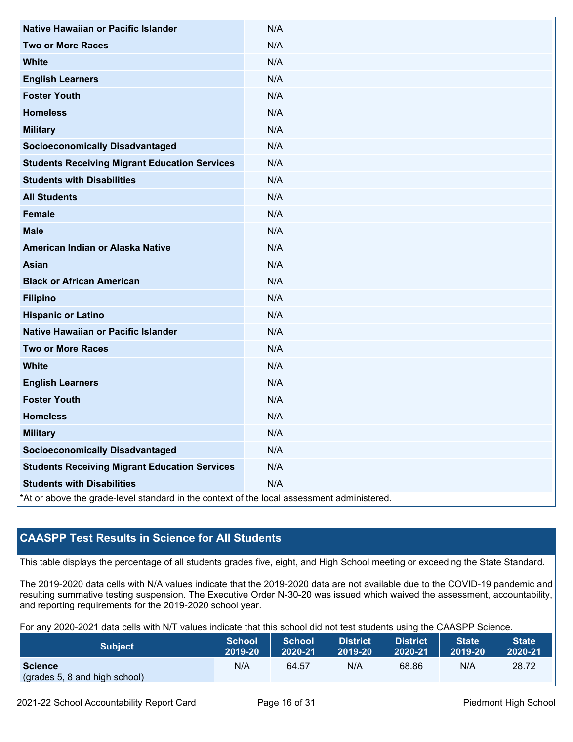| Native Hawaiian or Pacific Islander                                                        | N/A |  |  |  |  |  |  |
|--------------------------------------------------------------------------------------------|-----|--|--|--|--|--|--|
| <b>Two or More Races</b>                                                                   | N/A |  |  |  |  |  |  |
| <b>White</b>                                                                               | N/A |  |  |  |  |  |  |
| <b>English Learners</b>                                                                    | N/A |  |  |  |  |  |  |
| <b>Foster Youth</b>                                                                        | N/A |  |  |  |  |  |  |
| <b>Homeless</b>                                                                            | N/A |  |  |  |  |  |  |
| <b>Military</b>                                                                            | N/A |  |  |  |  |  |  |
| <b>Socioeconomically Disadvantaged</b>                                                     | N/A |  |  |  |  |  |  |
| <b>Students Receiving Migrant Education Services</b>                                       | N/A |  |  |  |  |  |  |
| <b>Students with Disabilities</b>                                                          | N/A |  |  |  |  |  |  |
| <b>All Students</b>                                                                        | N/A |  |  |  |  |  |  |
| <b>Female</b>                                                                              | N/A |  |  |  |  |  |  |
| <b>Male</b>                                                                                | N/A |  |  |  |  |  |  |
| American Indian or Alaska Native                                                           | N/A |  |  |  |  |  |  |
| <b>Asian</b>                                                                               | N/A |  |  |  |  |  |  |
| <b>Black or African American</b>                                                           | N/A |  |  |  |  |  |  |
| <b>Filipino</b>                                                                            | N/A |  |  |  |  |  |  |
| <b>Hispanic or Latino</b>                                                                  | N/A |  |  |  |  |  |  |
| Native Hawaiian or Pacific Islander                                                        | N/A |  |  |  |  |  |  |
| <b>Two or More Races</b>                                                                   | N/A |  |  |  |  |  |  |
| <b>White</b>                                                                               | N/A |  |  |  |  |  |  |
| <b>English Learners</b>                                                                    | N/A |  |  |  |  |  |  |
| <b>Foster Youth</b>                                                                        | N/A |  |  |  |  |  |  |
| <b>Homeless</b>                                                                            | N/A |  |  |  |  |  |  |
| <b>Military</b>                                                                            | N/A |  |  |  |  |  |  |
| <b>Socioeconomically Disadvantaged</b>                                                     | N/A |  |  |  |  |  |  |
| <b>Students Receiving Migrant Education Services</b>                                       | N/A |  |  |  |  |  |  |
| <b>Students with Disabilities</b>                                                          | N/A |  |  |  |  |  |  |
| *At or above the grade-level standard in the context of the local assessment administered. |     |  |  |  |  |  |  |

## **CAASPP Test Results in Science for All Students**

This table displays the percentage of all students grades five, eight, and High School meeting or exceeding the State Standard.

The 2019-2020 data cells with N/A values indicate that the 2019-2020 data are not available due to the COVID-19 pandemic and resulting summative testing suspension. The Executive Order N-30-20 was issued which waived the assessment, accountability, and reporting requirements for the 2019-2020 school year.

For any 2020-2021 data cells with N/T values indicate that this school did not test students using the CAASPP Science.

| <b>Subject</b>                                  | <b>School</b> | <b>School</b> | <b>District</b> | <b>District</b> | <b>State</b> | <b>State</b> |
|-------------------------------------------------|---------------|---------------|-----------------|-----------------|--------------|--------------|
|                                                 | 2019-20       | 2020-21       | 2019-20         | 2020-21         | 2019-20      | 2020-21      |
| <b>Science</b><br>(grades 5, 8 and high school) | N/A           | 64.57         | N/A             | 68.86           | N/A          | 28.72        |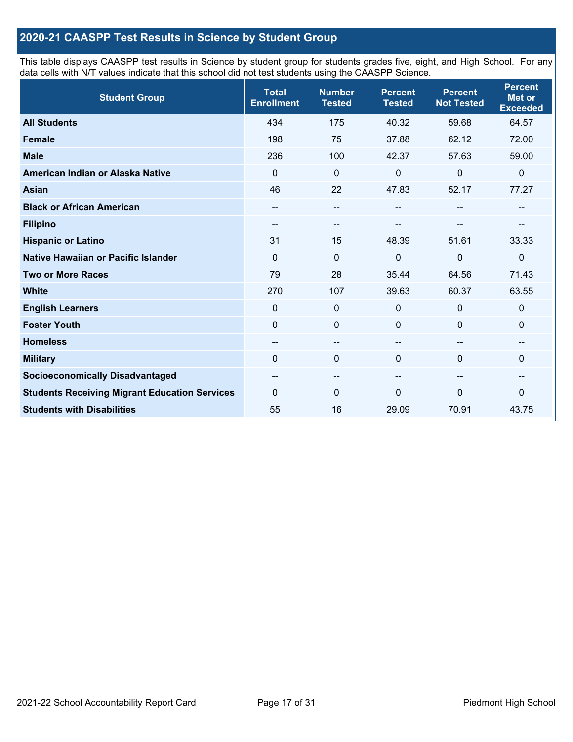## **2020-21 CAASPP Test Results in Science by Student Group**

This table displays CAASPP test results in Science by student group for students grades five, eight, and High School. For any data cells with N/T values indicate that this school did not test students using the CAASPP Science.

| <b>Student Group</b>                                 | <b>Total</b><br><b>Enrollment</b> | <b>Number</b><br><b>Tested</b> | <b>Percent</b><br><b>Tested</b> | <b>Percent</b><br><b>Not Tested</b> | <b>Percent</b><br><b>Met or</b><br><b>Exceeded</b> |
|------------------------------------------------------|-----------------------------------|--------------------------------|---------------------------------|-------------------------------------|----------------------------------------------------|
| <b>All Students</b>                                  | 434                               | 175                            | 40.32                           | 59.68                               | 64.57                                              |
| <b>Female</b>                                        | 198                               | 75                             | 37.88                           | 62.12                               | 72.00                                              |
| <b>Male</b>                                          | 236                               | 100                            | 42.37                           | 57.63                               | 59.00                                              |
| American Indian or Alaska Native                     | $\Omega$                          | $\mathbf 0$                    | 0                               | $\mathbf 0$                         | $\mathbf 0$                                        |
| <b>Asian</b>                                         | 46                                | 22                             | 47.83                           | 52.17                               | 77.27                                              |
| <b>Black or African American</b>                     | --                                | $\qquad \qquad -$              |                                 | --                                  | --                                                 |
| <b>Filipino</b>                                      | --                                | --                             |                                 |                                     | --                                                 |
| <b>Hispanic or Latino</b>                            | 31                                | 15                             | 48.39                           | 51.61                               | 33.33                                              |
| <b>Native Hawaiian or Pacific Islander</b>           | $\mathbf 0$                       | $\mathbf 0$                    | $\mathbf 0$                     | $\overline{0}$                      | $\mathbf 0$                                        |
| <b>Two or More Races</b>                             | 79                                | 28                             | 35.44                           | 64.56                               | 71.43                                              |
| <b>White</b>                                         | 270                               | 107                            | 39.63                           | 60.37                               | 63.55                                              |
| <b>English Learners</b>                              | $\Omega$                          | $\mathbf 0$                    | $\mathbf 0$                     | $\mathbf 0$                         | 0                                                  |
| <b>Foster Youth</b>                                  | $\mathbf 0$                       | $\mathbf 0$                    | 0                               | $\mathbf 0$                         | 0                                                  |
| <b>Homeless</b>                                      | --                                | --                             |                                 | --                                  | $\sim$                                             |
| <b>Military</b>                                      | $\Omega$                          | $\mathbf 0$                    | $\Omega$                        | $\Omega$                            | 0                                                  |
| <b>Socioeconomically Disadvantaged</b>               | --                                | $\overline{\phantom{m}}$       | --                              | $\sim$                              | $\qquad \qquad -$                                  |
| <b>Students Receiving Migrant Education Services</b> | $\Omega$                          | $\mathbf 0$                    | $\Omega$                        | $\mathbf{0}$                        | 0                                                  |
| <b>Students with Disabilities</b>                    | 55                                | 16                             | 29.09                           | 70.91                               | 43.75                                              |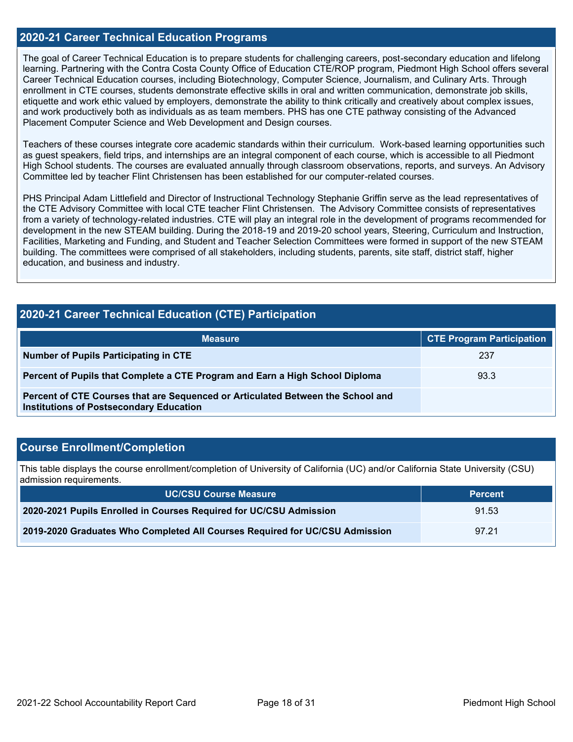#### **2020-21 Career Technical Education Programs**

The goal of Career Technical Education is to prepare students for challenging careers, post-secondary education and lifelong learning. Partnering with the Contra Costa County Office of Education CTE/ROP program, Piedmont High School offers several Career Technical Education courses, including Biotechnology, Computer Science, Journalism, and Culinary Arts. Through enrollment in CTE courses, students demonstrate effective skills in oral and written communication, demonstrate job skills, etiquette and work ethic valued by employers, demonstrate the ability to think critically and creatively about complex issues, and work productively both as individuals as as team members. PHS has one CTE pathway consisting of the Advanced Placement Computer Science and Web Development and Design courses.

Teachers of these courses integrate core academic standards within their curriculum. Work-based learning opportunities such as guest speakers, field trips, and internships are an integral component of each course, which is accessible to all Piedmont High School students. The courses are evaluated annually through classroom observations, reports, and surveys. An Advisory Committee led by teacher Flint Christensen has been established for our computer-related courses.

PHS Principal Adam Littlefield and Director of Instructional Technology Stephanie Griffin serve as the lead representatives of the CTE Advisory Committee with local CTE teacher Flint Christensen. The Advisory Committee consists of representatives from a variety of technology-related industries. CTE will play an integral role in the development of programs recommended for development in the new STEAM building. During the 2018-19 and 2019-20 school years, Steering, Curriculum and Instruction, Facilities, Marketing and Funding, and Student and Teacher Selection Committees were formed in support of the new STEAM building. The committees were comprised of all stakeholders, including students, parents, site staff, district staff, higher education, and business and industry.

### **2020-21 Career Technical Education (CTE) Participation**

| <b>Measure</b>                                                                                                                    | <b>CTE Program Participation</b> |
|-----------------------------------------------------------------------------------------------------------------------------------|----------------------------------|
| Number of Pupils Participating in CTE                                                                                             | 237                              |
| Percent of Pupils that Complete a CTE Program and Earn a High School Diploma                                                      | 93.3                             |
| Percent of CTE Courses that are Sequenced or Articulated Between the School and<br><b>Institutions of Postsecondary Education</b> |                                  |

#### **Course Enrollment/Completion**

This table displays the course enrollment/completion of University of California (UC) and/or California State University (CSU) admission requirements.

| <b>UC/CSU Course Measure</b>                                                | <b>Percent</b> |
|-----------------------------------------------------------------------------|----------------|
| 2020-2021 Pupils Enrolled in Courses Required for UC/CSU Admission          | 91.53          |
| 2019-2020 Graduates Who Completed All Courses Required for UC/CSU Admission | 97.21          |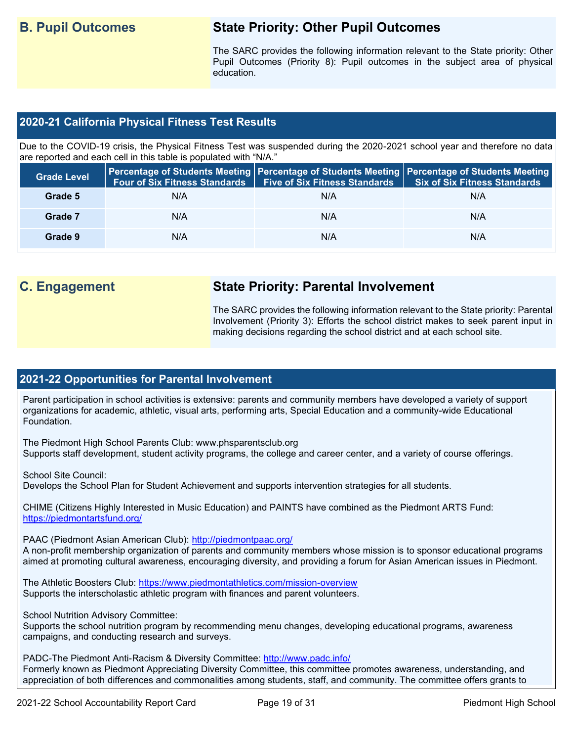## **B. Pupil Outcomes State Priority: Other Pupil Outcomes**

The SARC provides the following information relevant to the State priority: Other Pupil Outcomes (Priority 8): Pupil outcomes in the subject area of physical education.

#### **2020-21 California Physical Fitness Test Results**

Due to the COVID-19 crisis, the Physical Fitness Test was suspended during the 2020-2021 school year and therefore no data are reported and each cell in this table is populated with "N/A."

| <b>Grade Level</b> | <b>Four of Six Fitness Standards</b> | <b>Five of Six Fitness Standards</b> | Percentage of Students Meeting   Percentage of Students Meeting   Percentage of Students Meeting<br><b>Six of Six Fitness Standards</b> |
|--------------------|--------------------------------------|--------------------------------------|-----------------------------------------------------------------------------------------------------------------------------------------|
| Grade 5            | N/A                                  | N/A                                  | N/A                                                                                                                                     |
| Grade 7            | N/A                                  | N/A                                  | N/A                                                                                                                                     |
| Grade 9            | N/A                                  | N/A                                  | N/A                                                                                                                                     |

## **C. Engagement State Priority: Parental Involvement**

The SARC provides the following information relevant to the State priority: Parental Involvement (Priority 3): Efforts the school district makes to seek parent input in making decisions regarding the school district and at each school site.

#### **2021-22 Opportunities for Parental Involvement**

Parent participation in school activities is extensive: parents and community members have developed a variety of support organizations for academic, athletic, visual arts, performing arts, Special Education and a community-wide Educational Foundation.

The Piedmont High School Parents Club: www.phsparentsclub.org Supports staff development, student activity programs, the college and career center, and a variety of course offerings.

School Site Council: Develops the School Plan for Student Achievement and supports intervention strategies for all students.

CHIME (Citizens Highly Interested in Music Education) and PAINTS have combined as the Piedmont ARTS Fund: <https://piedmontartsfund.org/>

PAAC (Piedmont Asian American Club):<http://piedmontpaac.org/>

A non-profit membership organization of parents and community members whose mission is to sponsor educational programs aimed at promoting cultural awareness, encouraging diversity, and providing a forum for Asian American issues in Piedmont.

The Athletic Boosters Club:<https://www.piedmontathletics.com/mission-overview> Supports the interscholastic athletic program with finances and parent volunteers.

School Nutrition Advisory Committee:

Supports the school nutrition program by recommending menu changes, developing educational programs, awareness campaigns, and conducting research and surveys.

PADC-The Piedmont Anti-Racism & Diversity Committee:<http://www.padc.info/> Formerly known as Piedmont Appreciating Diversity Committee, this committee promotes awareness, understanding, and appreciation of both differences and commonalities among students, staff, and community. The committee offers grants to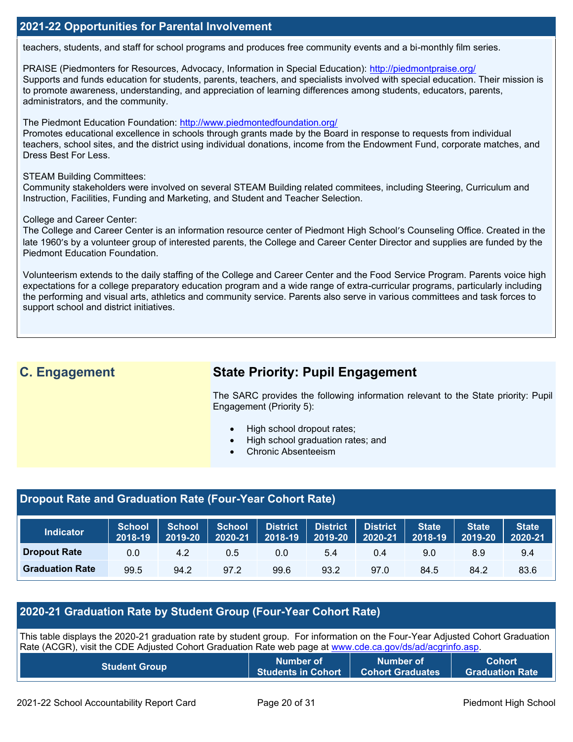#### **2021-22 Opportunities for Parental Involvement**

teachers, students, and staff for school programs and produces free community events and a bi-monthly film series.

PRAISE (Piedmonters for Resources, Advocacy, Information in Special Education):<http://piedmontpraise.org/> Supports and funds education for students, parents, teachers, and specialists involved with special education. Their mission is to promote awareness, understanding, and appreciation of learning differences among students, educators, parents, administrators, and the community.

The Piedmont Education Foundation:<http://www.piedmontedfoundation.org/>

Promotes educational excellence in schools through grants made by the Board in response to requests from individual teachers, school sites, and the district using individual donations, income from the Endowment Fund, corporate matches, and Dress Best For Less.

#### STEAM Building Committees:

Community stakeholders were involved on several STEAM Building related commitees, including Steering, Curriculum and Instruction, Facilities, Funding and Marketing, and Student and Teacher Selection.

#### College and Career Center:

The College and Career Center is an information resource center of Piedmont High School's Counseling Office. Created in the late 1960's by a volunteer group of interested parents, the College and Career Center Director and supplies are funded by the Piedmont Education Foundation.

Volunteerism extends to the daily staffing of the College and Career Center and the Food Service Program. Parents voice high expectations for a college preparatory education program and a wide range of extra-curricular programs, particularly including the performing and visual arts, athletics and community service. Parents also serve in various committees and task forces to support school and district initiatives.

## **C. Engagement State Priority: Pupil Engagement**

The SARC provides the following information relevant to the State priority: Pupil Engagement (Priority 5):

- High school dropout rates;
- High school graduation rates; and
- Chronic Absenteeism

#### **Dropout Rate and Graduation Rate (Four-Year Cohort Rate)**

| <b>Indicator</b>       | <b>School</b><br>2018-19 | <b>School</b><br>2019-20 | <b>School</b><br>2020-21 |      | District District<br>$\begin{array}{ c c c }\hline 2018\text{-}19 & 2019\text{-}20 \\\hline \end{array}$ | <b>District</b><br>2020-21 | <b>State</b><br>2018-19 | <b>State</b><br>2019-20 | State<br>2020-21 |
|------------------------|--------------------------|--------------------------|--------------------------|------|----------------------------------------------------------------------------------------------------------|----------------------------|-------------------------|-------------------------|------------------|
| <b>Dropout Rate</b>    | 0.0                      | 4.2                      | 0.5                      | 0.0  | 5.4                                                                                                      | 0.4                        | 9.0                     | 8.9                     | 9.4              |
| <b>Graduation Rate</b> | 99.5                     | 94.2                     | 97.2                     | 99.6 | 93.2                                                                                                     | 97.0                       | 84.5                    | 84.2                    | 83.6             |

#### **2020-21 Graduation Rate by Student Group (Four-Year Cohort Rate)**

| This table displays the 2020-21 graduation rate by student group. For information on the Four-Year Adjusted Cohort Graduation<br>Rate (ACGR), visit the CDE Adjusted Cohort Graduation Rate web page at www.cde.ca.gov/ds/ad/acgrinfo.asp. |  |  |  |  |  |
|--------------------------------------------------------------------------------------------------------------------------------------------------------------------------------------------------------------------------------------------|--|--|--|--|--|
| Cohort<br><b>Number of </b><br>Number of<br><b>Student Group</b><br><b>Students in Cohort</b><br><b>Cohort Graduates</b><br><b>Graduation Rate</b>                                                                                         |  |  |  |  |  |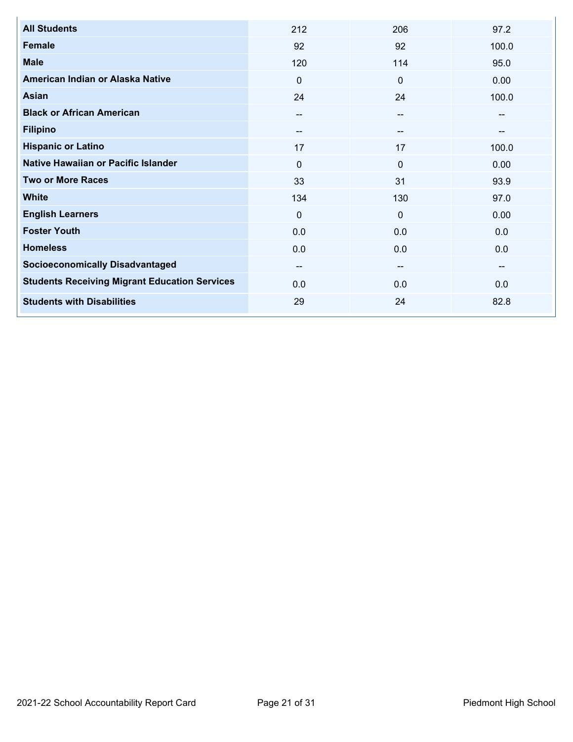| <b>All Students</b>                                  | 212                      | 206                      | 97.2  |
|------------------------------------------------------|--------------------------|--------------------------|-------|
| <b>Female</b>                                        | 92                       | 92                       | 100.0 |
| <b>Male</b>                                          | 120                      | 114                      | 95.0  |
| American Indian or Alaska Native                     | $\mathbf{0}$             | $\Omega$                 | 0.00  |
| Asian                                                | 24                       | 24                       | 100.0 |
| <b>Black or African American</b>                     | $- -$                    |                          | --    |
| <b>Filipino</b>                                      | $\overline{\phantom{m}}$ | $\overline{\phantom{m}}$ |       |
| <b>Hispanic or Latino</b>                            | 17                       | 17                       | 100.0 |
| Native Hawaiian or Pacific Islander                  | $\mathbf 0$              | $\Omega$                 | 0.00  |
| <b>Two or More Races</b>                             | 33                       | 31                       | 93.9  |
| <b>White</b>                                         | 134                      | 130                      | 97.0  |
| <b>English Learners</b>                              | $\mathbf 0$              | $\mathbf 0$              | 0.00  |
| <b>Foster Youth</b>                                  | 0.0                      | 0.0                      | 0.0   |
| <b>Homeless</b>                                      | 0.0                      | 0.0                      | 0.0   |
| <b>Socioeconomically Disadvantaged</b>               | $\qquad \qquad -$        | $\overline{\phantom{a}}$ | --    |
| <b>Students Receiving Migrant Education Services</b> | 0.0                      | 0.0                      | 0.0   |
| <b>Students with Disabilities</b>                    | 29                       | 24                       | 82.8  |
|                                                      |                          |                          |       |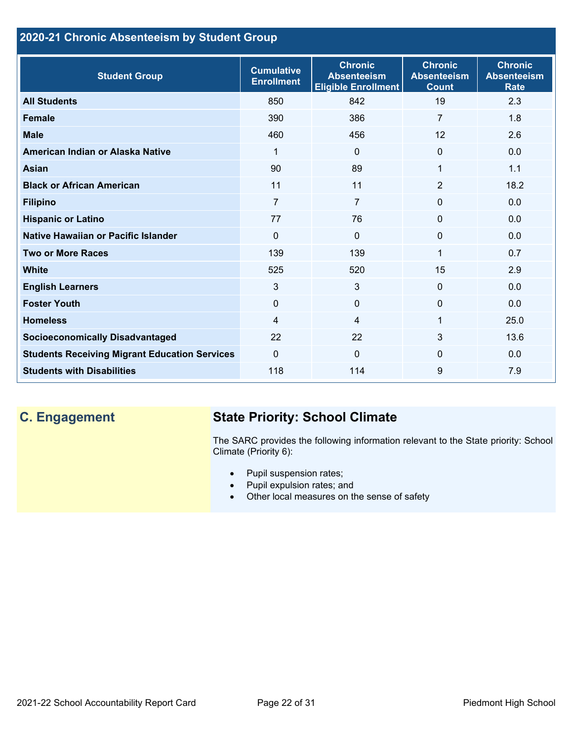## **2020-21 Chronic Absenteeism by Student Group**

| <b>Student Group</b>                                 | <b>Cumulative</b><br><b>Enrollment</b> | <b>Chronic</b><br><b>Absenteeism</b><br><b>Eligible Enrollment</b> | <b>Chronic</b><br><b>Absenteeism</b><br><b>Count</b> | <b>Chronic</b><br><b>Absenteeism</b><br><b>Rate</b> |
|------------------------------------------------------|----------------------------------------|--------------------------------------------------------------------|------------------------------------------------------|-----------------------------------------------------|
| <b>All Students</b>                                  | 850                                    | 842                                                                | 19                                                   | 2.3                                                 |
| <b>Female</b>                                        | 390                                    | 386                                                                | $\overline{7}$                                       | 1.8                                                 |
| <b>Male</b>                                          | 460                                    | 456                                                                | 12                                                   | 2.6                                                 |
| American Indian or Alaska Native                     | 1                                      | $\Omega$                                                           | $\Omega$                                             | 0.0                                                 |
| <b>Asian</b>                                         | 90                                     | 89                                                                 | 1                                                    | 1.1                                                 |
| <b>Black or African American</b>                     | 11                                     | 11                                                                 | $\overline{2}$                                       | 18.2                                                |
| <b>Filipino</b>                                      | $\overline{7}$                         | $\overline{7}$                                                     | $\mathbf{0}$                                         | 0.0                                                 |
| <b>Hispanic or Latino</b>                            | 77                                     | 76                                                                 | $\mathbf{0}$                                         | 0.0                                                 |
| Native Hawaiian or Pacific Islander                  | $\Omega$                               | $\mathbf{0}$                                                       | $\mathbf 0$                                          | 0.0                                                 |
| <b>Two or More Races</b>                             | 139                                    | 139                                                                | 1                                                    | 0.7                                                 |
| <b>White</b>                                         | 525                                    | 520                                                                | 15                                                   | 2.9                                                 |
| <b>English Learners</b>                              | 3                                      | 3                                                                  | $\mathbf{0}$                                         | 0.0                                                 |
| <b>Foster Youth</b>                                  | $\mathbf 0$                            | $\mathbf{0}$                                                       | $\mathbf{0}$                                         | 0.0                                                 |
| <b>Homeless</b>                                      | 4                                      | $\overline{4}$                                                     | 1                                                    | 25.0                                                |
| <b>Socioeconomically Disadvantaged</b>               | 22                                     | 22                                                                 | 3                                                    | 13.6                                                |
| <b>Students Receiving Migrant Education Services</b> | $\Omega$                               | $\Omega$                                                           | $\Omega$                                             | 0.0                                                 |
| <b>Students with Disabilities</b>                    | 118                                    | 114                                                                | 9                                                    | 7.9                                                 |

## **C. Engagement State Priority: School Climate**

The SARC provides the following information relevant to the State priority: School Climate (Priority 6):

- Pupil suspension rates;
- Pupil expulsion rates; and
- Other local measures on the sense of safety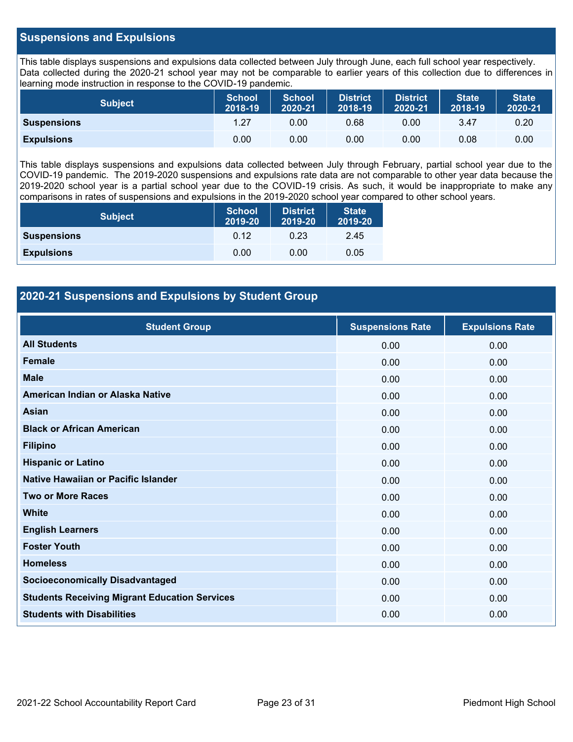#### **Suspensions and Expulsions**

This table displays suspensions and expulsions data collected between July through June, each full school year respectively. Data collected during the 2020-21 school year may not be comparable to earlier years of this collection due to differences in learning mode instruction in response to the COVID-19 pandemic.

| <b>Subject</b>     | <b>School</b><br>2018-19 | <b>School</b><br>2020-21 | <b>District</b><br>2018-19 | <b>District</b><br>2020-21 | <b>State</b><br>2018-19 | <b>State</b><br>2020-21 |
|--------------------|--------------------------|--------------------------|----------------------------|----------------------------|-------------------------|-------------------------|
| <b>Suspensions</b> | 1.27                     | 0.00                     | 0.68                       | 0.00                       | 3.47                    | 0.20                    |
| <b>Expulsions</b>  | 0.00                     | 0.00                     | 0.00                       | 0.00                       | 0.08                    | 0.00                    |

This table displays suspensions and expulsions data collected between July through February, partial school year due to the COVID-19 pandemic. The 2019-2020 suspensions and expulsions rate data are not comparable to other year data because the 2019-2020 school year is a partial school year due to the COVID-19 crisis. As such, it would be inappropriate to make any comparisons in rates of suspensions and expulsions in the 2019-2020 school year compared to other school years.

| <b>Subject</b>     | <b>School</b><br>2019-20 | <b>District</b><br>2019-20 | <b>State</b><br>2019-20 |
|--------------------|--------------------------|----------------------------|-------------------------|
| <b>Suspensions</b> | 0.12                     | 0.23                       | 2.45                    |
| <b>Expulsions</b>  | 0.00                     | 0.00                       | 0.05                    |

### **2020-21 Suspensions and Expulsions by Student Group**

| <b>Student Group</b>                                 | <b>Suspensions Rate</b> | <b>Expulsions Rate</b> |
|------------------------------------------------------|-------------------------|------------------------|
| <b>All Students</b>                                  | 0.00                    | 0.00                   |
| <b>Female</b>                                        | 0.00                    | 0.00                   |
| <b>Male</b>                                          | 0.00                    | 0.00                   |
| American Indian or Alaska Native                     | 0.00                    | 0.00                   |
| <b>Asian</b>                                         | 0.00                    | 0.00                   |
| <b>Black or African American</b>                     | 0.00                    | 0.00                   |
| <b>Filipino</b>                                      | 0.00                    | 0.00                   |
| <b>Hispanic or Latino</b>                            | 0.00                    | 0.00                   |
| Native Hawaiian or Pacific Islander                  | 0.00                    | 0.00                   |
| <b>Two or More Races</b>                             | 0.00                    | 0.00                   |
| <b>White</b>                                         | 0.00                    | 0.00                   |
| <b>English Learners</b>                              | 0.00                    | 0.00                   |
| <b>Foster Youth</b>                                  | 0.00                    | 0.00                   |
| <b>Homeless</b>                                      | 0.00                    | 0.00                   |
| <b>Socioeconomically Disadvantaged</b>               | 0.00                    | 0.00                   |
| <b>Students Receiving Migrant Education Services</b> | 0.00                    | 0.00                   |
| <b>Students with Disabilities</b>                    | 0.00                    | 0.00                   |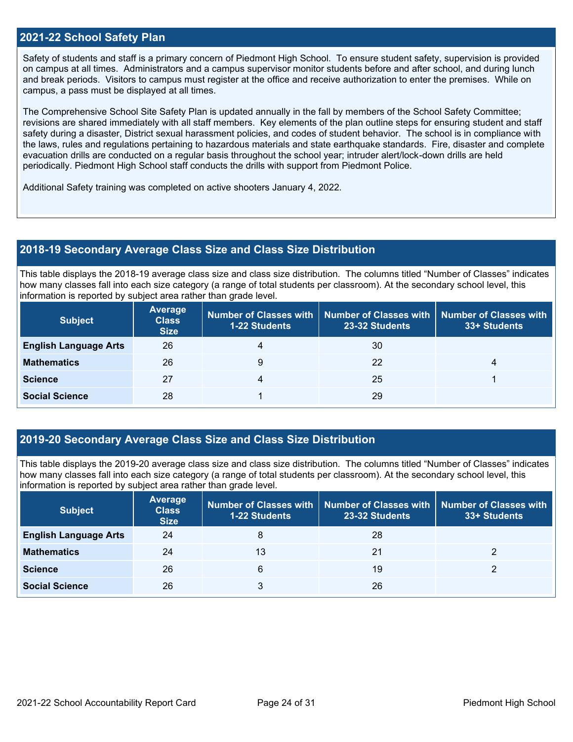#### **2021-22 School Safety Plan**

Safety of students and staff is a primary concern of Piedmont High School. To ensure student safety, supervision is provided on campus at all times. Administrators and a campus supervisor monitor students before and after school, and during lunch and break periods. Visitors to campus must register at the office and receive authorization to enter the premises. While on campus, a pass must be displayed at all times.

The Comprehensive School Site Safety Plan is updated annually in the fall by members of the School Safety Committee; revisions are shared immediately with all staff members. Key elements of the plan outline steps for ensuring student and staff safety during a disaster, District sexual harassment policies, and codes of student behavior. The school is in compliance with the laws, rules and regulations pertaining to hazardous materials and state earthquake standards. Fire, disaster and complete evacuation drills are conducted on a regular basis throughout the school year; intruder alert/lock-down drills are held periodically. Piedmont High School staff conducts the drills with support from Piedmont Police.

Additional Safety training was completed on active shooters January 4, 2022.

#### **2018-19 Secondary Average Class Size and Class Size Distribution**

This table displays the 2018-19 average class size and class size distribution. The columns titled "Number of Classes" indicates how many classes fall into each size category (a range of total students per classroom). At the secondary school level, this information is reported by subject area rather than grade level.

| <b>Subject</b>               | <b>Average</b><br><b>Class</b><br><b>Size</b> | <b>1-22 Students</b> | Number of Classes with   Number of Classes with<br>23-32 Students | <b>Number of Classes with</b><br>33+ Students |
|------------------------------|-----------------------------------------------|----------------------|-------------------------------------------------------------------|-----------------------------------------------|
| <b>English Language Arts</b> | 26                                            | 4                    | 30                                                                |                                               |
| <b>Mathematics</b>           | 26                                            | 9                    | 22                                                                | 4                                             |
| <b>Science</b>               | 27                                            |                      | 25                                                                |                                               |
| <b>Social Science</b>        | 28                                            |                      | 29                                                                |                                               |

#### **2019-20 Secondary Average Class Size and Class Size Distribution**

This table displays the 2019-20 average class size and class size distribution. The columns titled "Number of Classes" indicates how many classes fall into each size category (a range of total students per classroom). At the secondary school level, this information is reported by subject area rather than grade level.

| <b>Subject</b>               | <b>Average</b><br><b>Class</b><br><b>Size</b> | <b>1-22 Students</b> | Number of Classes with   Number of Classes with  <br>23-32 Students | Number of Classes with<br>33+ Students |
|------------------------------|-----------------------------------------------|----------------------|---------------------------------------------------------------------|----------------------------------------|
| <b>English Language Arts</b> | 24                                            | 8                    | 28                                                                  |                                        |
| <b>Mathematics</b>           | 24                                            | 13                   | 21                                                                  |                                        |
| <b>Science</b>               | 26                                            | 6                    | 19                                                                  |                                        |
| <b>Social Science</b>        | 26                                            | 3                    | 26                                                                  |                                        |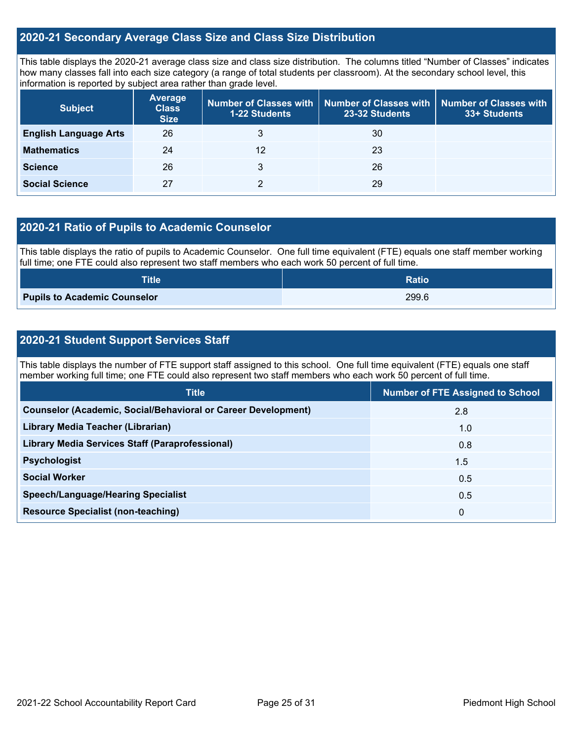#### **2020-21 Secondary Average Class Size and Class Size Distribution**

This table displays the 2020-21 average class size and class size distribution. The columns titled "Number of Classes" indicates how many classes fall into each size category (a range of total students per classroom). At the secondary school level, this information is reported by subject area rather than grade level.

| <b>Subject</b>               | <b>Average</b><br><b>Class</b><br><b>Size</b> | 1-22 Students | Number of Classes with   Number of Classes with<br>23-32 Students | <b>Number of Classes with</b><br>33+ Students |
|------------------------------|-----------------------------------------------|---------------|-------------------------------------------------------------------|-----------------------------------------------|
| <b>English Language Arts</b> | 26                                            | 3             | 30                                                                |                                               |
| <b>Mathematics</b>           | 24                                            | 12            | 23                                                                |                                               |
| <b>Science</b>               | 26                                            | 3             | 26                                                                |                                               |
| <b>Social Science</b>        | 27                                            |               | 29                                                                |                                               |

#### **2020-21 Ratio of Pupils to Academic Counselor**

This table displays the ratio of pupils to Academic Counselor. One full time equivalent (FTE) equals one staff member working full time; one FTE could also represent two staff members who each work 50 percent of full time.

| <b>Title</b>                        | <b>Ratio</b> |
|-------------------------------------|--------------|
| <b>Pupils to Academic Counselor</b> | 299.6        |

### **2020-21 Student Support Services Staff**

This table displays the number of FTE support staff assigned to this school. One full time equivalent (FTE) equals one staff member working full time; one FTE could also represent two staff members who each work 50 percent of full time.

| <b>Title</b>                                                         | <b>Number of FTE Assigned to School</b> |
|----------------------------------------------------------------------|-----------------------------------------|
| <b>Counselor (Academic, Social/Behavioral or Career Development)</b> | 2.8                                     |
| Library Media Teacher (Librarian)                                    | 1.0                                     |
| <b>Library Media Services Staff (Paraprofessional)</b>               | 0.8                                     |
| <b>Psychologist</b>                                                  | 1.5                                     |
| <b>Social Worker</b>                                                 | 0.5                                     |
| <b>Speech/Language/Hearing Specialist</b>                            | 0.5                                     |
| <b>Resource Specialist (non-teaching)</b>                            | $\mathbf 0$                             |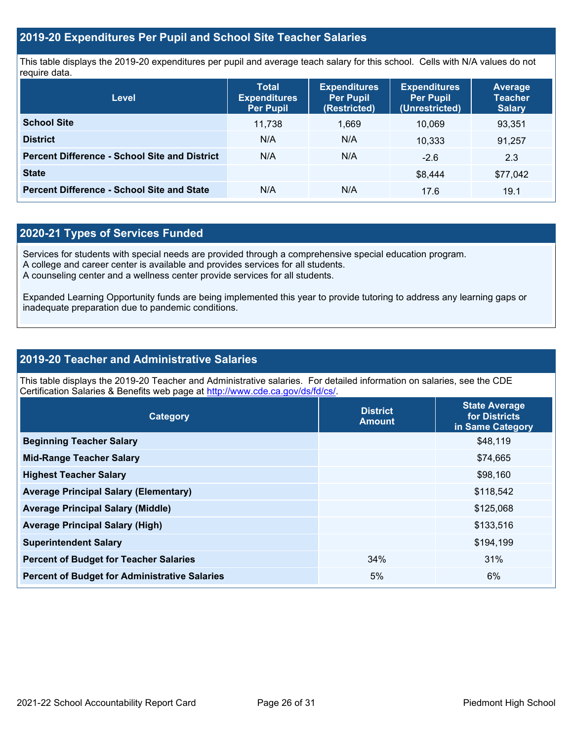#### **2019-20 Expenditures Per Pupil and School Site Teacher Salaries**

This table displays the 2019-20 expenditures per pupil and average teach salary for this school. Cells with N/A values do not require data.

| <b>Level</b>                                         | <b>Total</b><br><b>Expenditures</b><br><b>Per Pupil</b> | <b>Expenditures</b><br><b>Per Pupil</b><br>(Restricted) | <b>Expenditures</b><br><b>Per Pupil</b><br>(Unrestricted) | <b>Average</b><br><b>Teacher</b><br><b>Salary</b> |
|------------------------------------------------------|---------------------------------------------------------|---------------------------------------------------------|-----------------------------------------------------------|---------------------------------------------------|
| <b>School Site</b>                                   | 11.738                                                  | 1,669                                                   | 10.069                                                    | 93,351                                            |
| <b>District</b>                                      | N/A                                                     | N/A                                                     | 10.333                                                    | 91,257                                            |
| <b>Percent Difference - School Site and District</b> | N/A                                                     | N/A                                                     | $-2.6$                                                    | 2.3                                               |
| <b>State</b>                                         |                                                         |                                                         | \$8.444                                                   | \$77,042                                          |
| <b>Percent Difference - School Site and State</b>    | N/A                                                     | N/A                                                     | 17.6                                                      | 19.1                                              |

### **2020-21 Types of Services Funded**

Services for students with special needs are provided through a comprehensive special education program.

A college and career center is available and provides services for all students.

A counseling center and a wellness center provide services for all students.

Expanded Learning Opportunity funds are being implemented this year to provide tutoring to address any learning gaps or inadequate preparation due to pandemic conditions.

#### **2019-20 Teacher and Administrative Salaries**

This table displays the 2019-20 Teacher and Administrative salaries. For detailed information on salaries, see the CDE Certification Salaries & Benefits web page at [http://www.cde.ca.gov/ds/fd/cs/.](http://www.cde.ca.gov/ds/fd/cs/)

| Category                                             | <b>District</b><br><b>Amount</b> | <b>State Average</b><br>for Districts<br>in Same Category |
|------------------------------------------------------|----------------------------------|-----------------------------------------------------------|
| <b>Beginning Teacher Salary</b>                      |                                  | \$48,119                                                  |
| <b>Mid-Range Teacher Salary</b>                      |                                  | \$74,665                                                  |
| <b>Highest Teacher Salary</b>                        |                                  | \$98,160                                                  |
| <b>Average Principal Salary (Elementary)</b>         |                                  | \$118,542                                                 |
| <b>Average Principal Salary (Middle)</b>             |                                  | \$125,068                                                 |
| <b>Average Principal Salary (High)</b>               |                                  | \$133,516                                                 |
| <b>Superintendent Salary</b>                         |                                  | \$194,199                                                 |
| <b>Percent of Budget for Teacher Salaries</b>        | 34%                              | 31%                                                       |
| <b>Percent of Budget for Administrative Salaries</b> | 5%                               | 6%                                                        |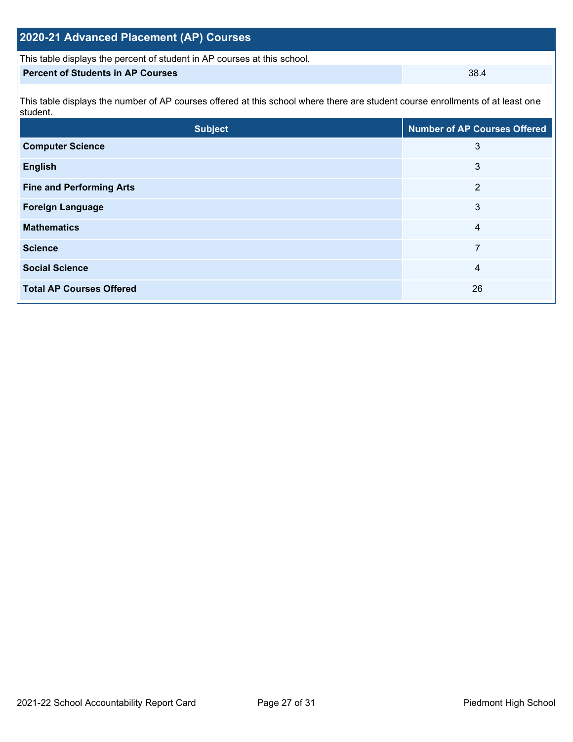| 2020-21 Advanced Placement (AP) Courses                                                                                                    |                                     |  |  |  |  |
|--------------------------------------------------------------------------------------------------------------------------------------------|-------------------------------------|--|--|--|--|
| This table displays the percent of student in AP courses at this school.                                                                   |                                     |  |  |  |  |
| <b>Percent of Students in AP Courses</b>                                                                                                   | 38.4                                |  |  |  |  |
| This table displays the number of AP courses offered at this school where there are student course enrollments of at least one<br>student. |                                     |  |  |  |  |
| <b>Subject</b>                                                                                                                             | <b>Number of AP Courses Offered</b> |  |  |  |  |
|                                                                                                                                            |                                     |  |  |  |  |

| <b>Computer Science</b>         | 3  |
|---------------------------------|----|
| <b>English</b>                  | 3  |
| <b>Fine and Performing Arts</b> | 2  |
| <b>Foreign Language</b>         | 3  |
| <b>Mathematics</b>              | 4  |
| <b>Science</b>                  | 7  |
| <b>Social Science</b>           | 4  |
| <b>Total AP Courses Offered</b> | 26 |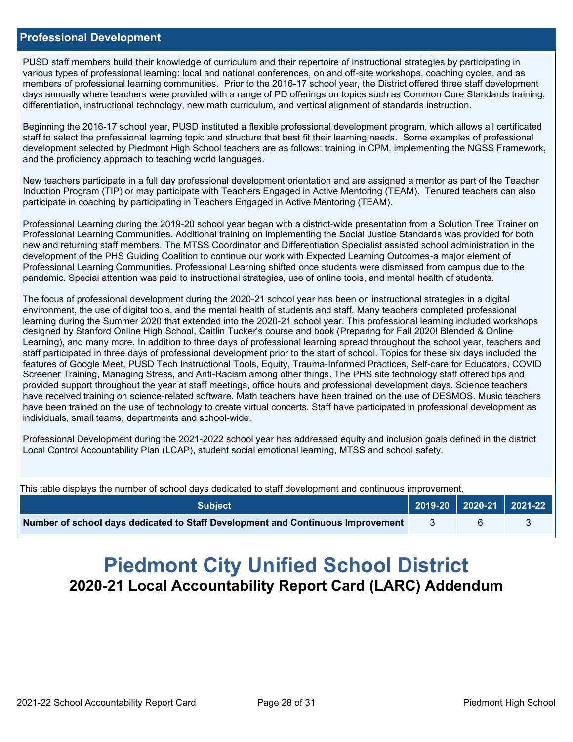#### **Professional Development**

PUSD staff members build their knowledge of curriculum and their repertoire of instructional strategies by participating in various types of professional learning: local and national conferences, on and off-site workshops, coaching cycles, and as members of professional learning communities. Prior to the 2016-17 school year, the District offered three staff development days annually where teachers were provided with a range of PD offerings on topics such as Common Core Standards training, differentiation, instructional technology, new math curriculum, and vertical alignment of standards instruction.

Beginning the 2016-17 school year, PUSD instituted a flexible professional development program, which allows all certificated staff to select the professional learning topic and structure that best fit their learning needs. Some examples of professional development selected by Piedmont High School teachers are as follows: training in CPM, implementing the NGSS Framework, and the proficiency approach to teaching world languages.

New teachers participate in a full day professional development orientation and are assigned a mentor as part of the Teacher Induction Program (TIP) or may participate with Teachers Engaged in Active Mentoring (TEAM). Tenured teachers can also participate in coaching by participating in Teachers Engaged in Active Mentoring (TEAM).

Professional Learning during the 2019-20 school year began with a district-wide presentation from a Solution Tree Trainer on Professional Learning Communities. Additional training on implementing the Social Justice Standards was provided for both new and returning staff members. The MTSS Coordinator and Differentiation Specialist assisted school administration in the development of the PHS Guiding Coalition to continue our work with Expected Learning Outcomes-a major element of Professional Learning Communities. Professional Learning shifted once students were dismissed from campus due to the pandemic. Special attention was paid to instructional strategies, use of online tools, and mental health of students.

The focus of professional development during the 2020-21 school year has been on instructional strategies in a digital environment, the use of digital tools, and the mental health of students and staff. Many teachers completed professional learning during the Summer 2020 that extended into the 2020-21 school year. This professional learning included workshops designed by Stanford Online High School, Caitlin Tucker's course and book (Preparing for Fall 2020! Blended & Online Learning), and many more. In addition to three days of professional learning spread throughout the school year, teachers and staff participated in three days of professional development prior to the start of school. Topics for these six days included the features of Google Meet, PUSD Tech Instructional Tools, Equity, Trauma-Informed Practices, Self-care for Educators, COVID Screener Training, Managing Stress, and Anti-Racism among other things. The PHS site technology staff offered tips and provided support throughout the year at staff meetings, office hours and professional development days. Science teachers have received training on science-related software. Math teachers have been trained on the use of DESMOS. Music teachers have been trained on the use of technology to create virtual concerts. Staff have participated in professional development as individuals, small teams, departments and school-wide.

Professional Development during the 2021-2022 school year has addressed equity and inclusion goals defined in the district Local Control Accountability Plan (LCAP), student social emotional learning, MTSS and school safety.

This table displays the number of school days dedicated to staff development and continuous improvement.

| <b>Subject</b>                                                                  |  | $\vert$ 2019-20 2020-21 2021-22 |
|---------------------------------------------------------------------------------|--|---------------------------------|
| Number of school days dedicated to Staff Development and Continuous Improvement |  |                                 |

# **Piedmont City Unified School District 2020-21 Local Accountability Report Card (LARC) Addendum**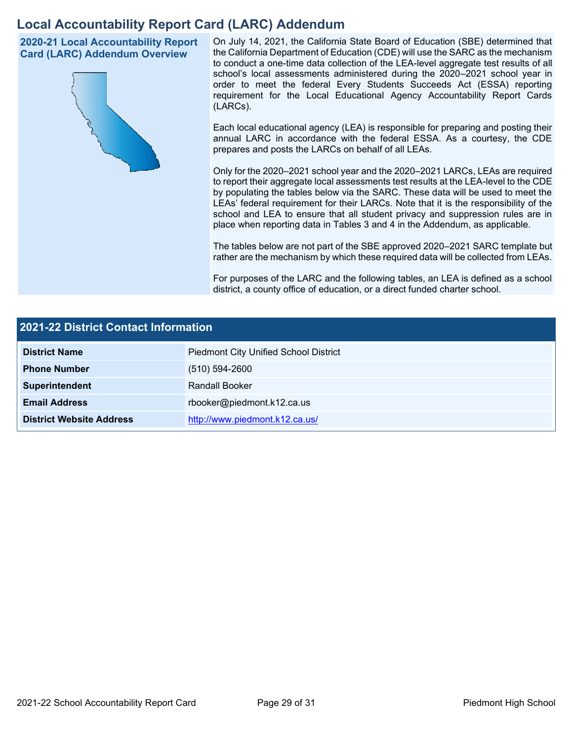## **Local Accountability Report Card (LARC) Addendum**

**2020-21 Local Accountability Report Card (LARC) Addendum Overview**



On July 14, 2021, the California State Board of Education (SBE) determined that the California Department of Education (CDE) will use the SARC as the mechanism to conduct a one-time data collection of the LEA-level aggregate test results of all school's local assessments administered during the 2020–2021 school year in order to meet the federal Every Students Succeeds Act (ESSA) reporting requirement for the Local Educational Agency Accountability Report Cards (LARCs).

Each local educational agency (LEA) is responsible for preparing and posting their annual LARC in accordance with the federal ESSA. As a courtesy, the CDE prepares and posts the LARCs on behalf of all LEAs.

Only for the 2020–2021 school year and the 2020–2021 LARCs, LEAs are required to report their aggregate local assessments test results at the LEA-level to the CDE by populating the tables below via the SARC. These data will be used to meet the LEAs' federal requirement for their LARCs. Note that it is the responsibility of the school and LEA to ensure that all student privacy and suppression rules are in place when reporting data in Tables 3 and 4 in the Addendum, as applicable.

The tables below are not part of the SBE approved 2020–2021 SARC template but rather are the mechanism by which these required data will be collected from LEAs.

For purposes of the LARC and the following tables, an LEA is defined as a school district, a county office of education, or a direct funded charter school.

| <b>2021-22 District Contact Information</b> |                                              |  |  |  |
|---------------------------------------------|----------------------------------------------|--|--|--|
| <b>District Name</b>                        | <b>Piedmont City Unified School District</b> |  |  |  |
| <b>Phone Number</b>                         | $(510) 594 - 2600$                           |  |  |  |
| Superintendent                              | Randall Booker                               |  |  |  |
| <b>Email Address</b>                        | rbooker@piedmont.k12.ca.us                   |  |  |  |
| <b>District Website Address</b>             | http://www.piedmont.k12.ca.us/               |  |  |  |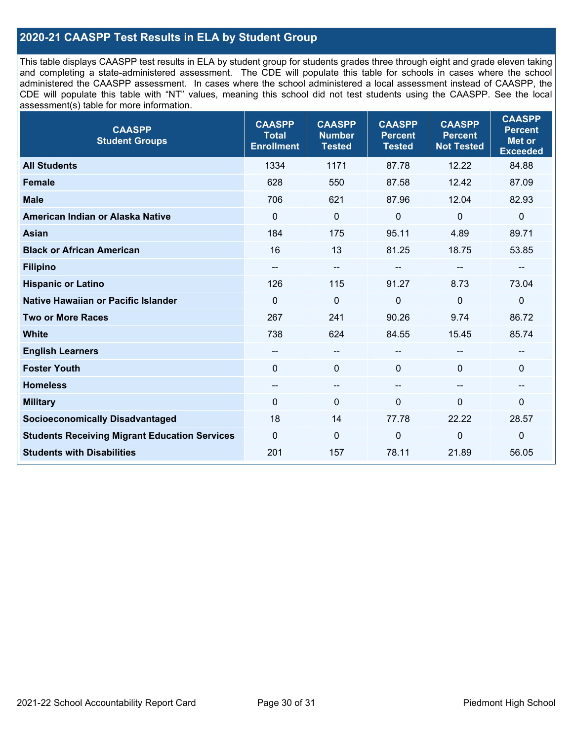### **2020-21 CAASPP Test Results in ELA by Student Group**

This table displays CAASPP test results in ELA by student group for students grades three through eight and grade eleven taking and completing a state-administered assessment. The CDE will populate this table for schools in cases where the school administered the CAASPP assessment. In cases where the school administered a local assessment instead of CAASPP, the CDE will populate this table with "NT" values, meaning this school did not test students using the CAASPP. See the local assessment(s) table for more information.

| <b>CAASPP</b><br><b>Student Groups</b>               | <b>CAASPP</b><br><b>Total</b><br><b>Enrollment</b> | <b>CAASPP</b><br><b>Number</b><br><b>Tested</b> | <b>CAASPP</b><br><b>Percent</b><br><b>Tested</b> | <b>CAASPP</b><br><b>Percent</b><br><b>Not Tested</b> | <b>CAASPP</b><br><b>Percent</b><br><b>Met or</b><br><b>Exceeded</b> |
|------------------------------------------------------|----------------------------------------------------|-------------------------------------------------|--------------------------------------------------|------------------------------------------------------|---------------------------------------------------------------------|
| <b>All Students</b>                                  | 1334                                               | 1171                                            | 87.78                                            | 12.22                                                | 84.88                                                               |
| <b>Female</b>                                        | 628                                                | 550                                             | 87.58                                            | 12.42                                                | 87.09                                                               |
| <b>Male</b>                                          | 706                                                | 621                                             | 87.96                                            | 12.04                                                | 82.93                                                               |
| American Indian or Alaska Native                     | $\Omega$                                           | $\mathbf 0$                                     | $\mathbf 0$                                      | $\overline{0}$                                       | 0                                                                   |
| <b>Asian</b>                                         | 184                                                | 175                                             | 95.11                                            | 4.89                                                 | 89.71                                                               |
| <b>Black or African American</b>                     | 16                                                 | 13                                              | 81.25                                            | 18.75                                                | 53.85                                                               |
| <b>Filipino</b>                                      | $\qquad \qquad -$                                  | $\overline{\phantom{a}}$                        |                                                  | --                                                   | --                                                                  |
| <b>Hispanic or Latino</b>                            | 126                                                | 115                                             | 91.27                                            | 8.73                                                 | 73.04                                                               |
| Native Hawaiian or Pacific Islander                  | $\Omega$                                           | $\mathbf 0$                                     | $\mathbf{0}$                                     | $\overline{0}$                                       | $\mathbf 0$                                                         |
| <b>Two or More Races</b>                             | 267                                                | 241                                             | 90.26                                            | 9.74                                                 | 86.72                                                               |
| <b>White</b>                                         | 738                                                | 624                                             | 84.55                                            | 15.45                                                | 85.74                                                               |
| <b>English Learners</b>                              | --                                                 | $\overline{\phantom{m}}$                        |                                                  | --                                                   |                                                                     |
| <b>Foster Youth</b>                                  | $\Omega$                                           | $\mathbf 0$                                     | $\mathbf{0}$                                     | $\Omega$                                             | 0                                                                   |
| <b>Homeless</b>                                      | $\overline{\phantom{a}}$                           | $\overline{\phantom{m}}$                        | --                                               | $\overline{\phantom{a}}$                             | --                                                                  |
| <b>Military</b>                                      | $\Omega$                                           | $\pmb{0}$                                       | $\Omega$                                         | $\mathbf 0$                                          | $\mathbf 0$                                                         |
| <b>Socioeconomically Disadvantaged</b>               | 18                                                 | 14                                              | 77.78                                            | 22.22                                                | 28.57                                                               |
| <b>Students Receiving Migrant Education Services</b> | $\Omega$                                           | $\mathbf 0$                                     | 0                                                | $\mathbf 0$                                          | $\mathbf 0$                                                         |
| <b>Students with Disabilities</b>                    | 201                                                | 157                                             | 78.11                                            | 21.89                                                | 56.05                                                               |